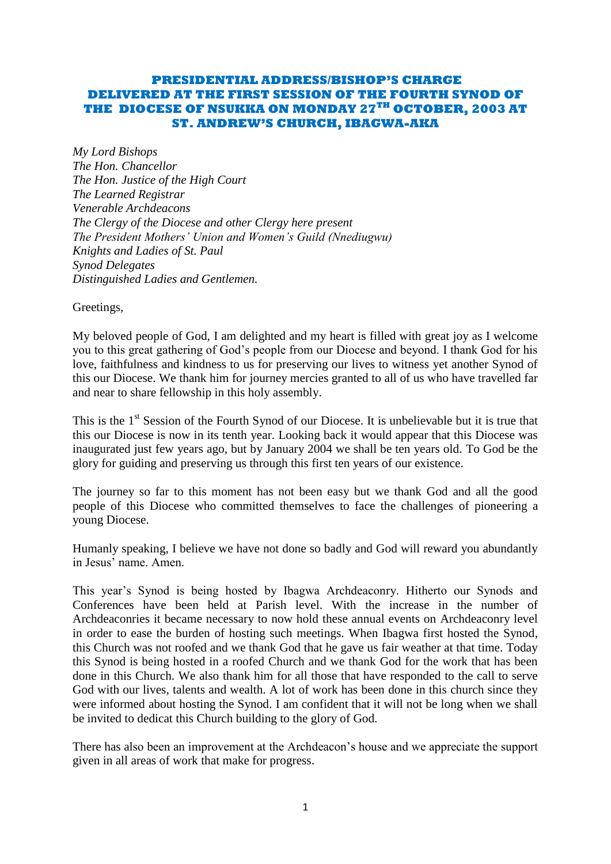# **PRESIDENTIAL ADDRESS/BISHOP'S CHARGE DELIVERED AT THE FIRST SESSION OF THE FOURTH SYNOD OF THE DIOCESE OF NSUKKA ON MONDAY 27TH OCTOBER, 2003 AT ST. ANDREW'S CHURCH, IBAGWA-AKA**

*My Lord Bishops The Hon. Chancellor The Hon. Justice of the High Court The Learned Registrar Venerable Archdeacons The Clergy of the Diocese and other Clergy here present The President Mothers" Union and Women"s Guild (Nnediugwu) Knights and Ladies of St. Paul Synod Delegates Distinguished Ladies and Gentlemen.*

Greetings,

My beloved people of God, I am delighted and my heart is filled with great joy as I welcome you to this great gathering of God"s people from our Diocese and beyond. I thank God for his love, faithfulness and kindness to us for preserving our lives to witness yet another Synod of this our Diocese. We thank him for journey mercies granted to all of us who have travelled far and near to share fellowship in this holy assembly.

This is the  $1<sup>st</sup>$  Session of the Fourth Synod of our Diocese. It is unbelievable but it is true that this our Diocese is now in its tenth year. Looking back it would appear that this Diocese was inaugurated just few years ago, but by January 2004 we shall be ten years old. To God be the glory for guiding and preserving us through this first ten years of our existence.

The journey so far to this moment has not been easy but we thank God and all the good people of this Diocese who committed themselves to face the challenges of pioneering a young Diocese.

Humanly speaking, I believe we have not done so badly and God will reward you abundantly in Jesus" name. Amen.

This year"s Synod is being hosted by Ibagwa Archdeaconry. Hitherto our Synods and Conferences have been held at Parish level. With the increase in the number of Archdeaconries it became necessary to now hold these annual events on Archdeaconry level in order to ease the burden of hosting such meetings. When Ibagwa first hosted the Synod, this Church was not roofed and we thank God that he gave us fair weather at that time. Today this Synod is being hosted in a roofed Church and we thank God for the work that has been done in this Church. We also thank him for all those that have responded to the call to serve God with our lives, talents and wealth. A lot of work has been done in this church since they were informed about hosting the Synod. I am confident that it will not be long when we shall be invited to dedicat this Church building to the glory of God.

There has also been an improvement at the Archdeacon's house and we appreciate the support given in all areas of work that make for progress.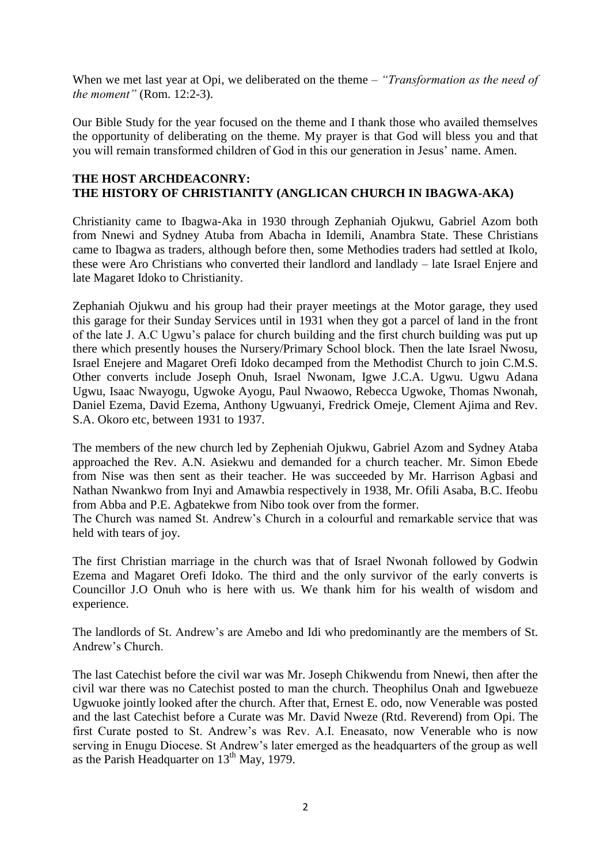When we met last year at Opi, we deliberated on the theme – *"Transformation as the need of the moment"* (Rom. 12:2-3).

Our Bible Study for the year focused on the theme and I thank those who availed themselves the opportunity of deliberating on the theme. My prayer is that God will bless you and that you will remain transformed children of God in this our generation in Jesus' name. Amen.

#### **THE HOST ARCHDEACONRY: THE HISTORY OF CHRISTIANITY (ANGLICAN CHURCH IN IBAGWA-AKA)**

Christianity came to Ibagwa-Aka in 1930 through Zephaniah Ojukwu, Gabriel Azom both from Nnewi and Sydney Atuba from Abacha in Idemili, Anambra State. These Christians came to Ibagwa as traders, although before then, some Methodies traders had settled at Ikolo, these were Aro Christians who converted their landlord and landlady – late Israel Enjere and late Magaret Idoko to Christianity.

Zephaniah Ojukwu and his group had their prayer meetings at the Motor garage, they used this garage for their Sunday Services until in 1931 when they got a parcel of land in the front of the late J. A.C Ugwu"s palace for church building and the first church building was put up there which presently houses the Nursery/Primary School block. Then the late Israel Nwosu, Israel Enejere and Magaret Orefi Idoko decamped from the Methodist Church to join C.M.S. Other converts include Joseph Onuh, Israel Nwonam, Igwe J.C.A. Ugwu. Ugwu Adana Ugwu, Isaac Nwayogu, Ugwoke Ayogu, Paul Nwaowo, Rebecca Ugwoke, Thomas Nwonah, Daniel Ezema, David Ezema, Anthony Ugwuanyi, Fredrick Omeje, Clement Ajima and Rev. S.A. Okoro etc, between 1931 to 1937.

The members of the new church led by Zepheniah Ojukwu, Gabriel Azom and Sydney Ataba approached the Rev. A.N. Asiekwu and demanded for a church teacher. Mr. Simon Ebede from Nise was then sent as their teacher. He was succeeded by Mr. Harrison Agbasi and Nathan Nwankwo from Inyi and Amawbia respectively in 1938, Mr. Ofili Asaba, B.C. Ifeobu from Abba and P.E. Agbatekwe from Nibo took over from the former.

The Church was named St. Andrew"s Church in a colourful and remarkable service that was held with tears of joy.

The first Christian marriage in the church was that of Israel Nwonah followed by Godwin Ezema and Magaret Orefi Idoko. The third and the only survivor of the early converts is Councillor J.O Onuh who is here with us. We thank him for his wealth of wisdom and experience.

The landlords of St. Andrew"s are Amebo and Idi who predominantly are the members of St. Andrew"s Church.

The last Catechist before the civil war was Mr. Joseph Chikwendu from Nnewi, then after the civil war there was no Catechist posted to man the church. Theophilus Onah and Igwebueze Ugwuoke jointly looked after the church. After that, Ernest E. odo, now Venerable was posted and the last Catechist before a Curate was Mr. David Nweze (Rtd. Reverend) from Opi. The first Curate posted to St. Andrew"s was Rev. A.I. Eneasato, now Venerable who is now serving in Enugu Diocese. St Andrew"s later emerged as the headquarters of the group as well as the Parish Headquarter on  $13<sup>th</sup>$  May, 1979.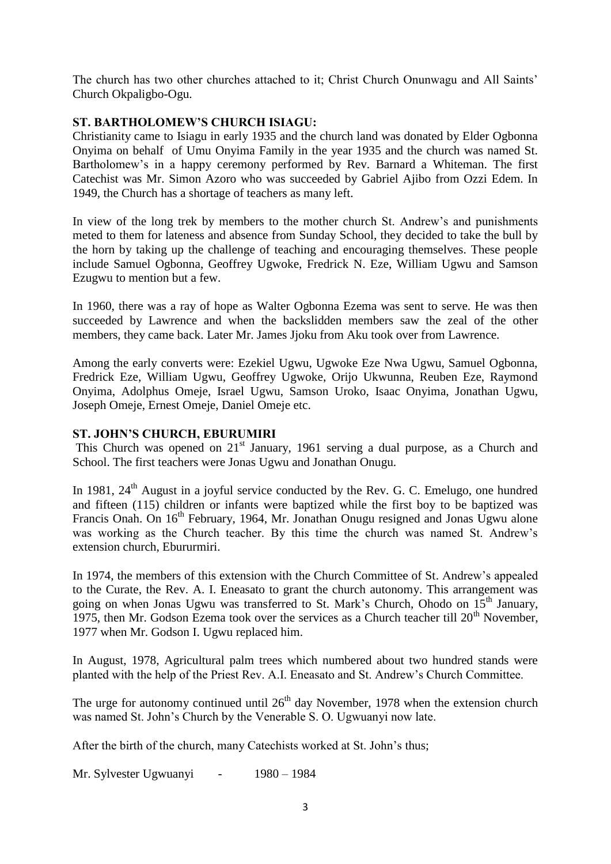The church has two other churches attached to it; Christ Church Onunwagu and All Saints' Church Okpaligbo-Ogu.

# **ST. BARTHOLOMEW'S CHURCH ISIAGU:**

Christianity came to Isiagu in early 1935 and the church land was donated by Elder Ogbonna Onyima on behalf of Umu Onyima Family in the year 1935 and the church was named St. Bartholomew's in a happy ceremony performed by Rev. Barnard a Whiteman. The first Catechist was Mr. Simon Azoro who was succeeded by Gabriel Ajibo from Ozzi Edem. In 1949, the Church has a shortage of teachers as many left.

In view of the long trek by members to the mother church St. Andrew"s and punishments meted to them for lateness and absence from Sunday School, they decided to take the bull by the horn by taking up the challenge of teaching and encouraging themselves. These people include Samuel Ogbonna, Geoffrey Ugwoke, Fredrick N. Eze, William Ugwu and Samson Ezugwu to mention but a few.

In 1960, there was a ray of hope as Walter Ogbonna Ezema was sent to serve. He was then succeeded by Lawrence and when the backslidden members saw the zeal of the other members, they came back. Later Mr. James Jjoku from Aku took over from Lawrence.

Among the early converts were: Ezekiel Ugwu, Ugwoke Eze Nwa Ugwu, Samuel Ogbonna, Fredrick Eze, William Ugwu, Geoffrey Ugwoke, Orijo Ukwunna, Reuben Eze, Raymond Onyima, Adolphus Omeje, Israel Ugwu, Samson Uroko, Isaac Onyima, Jonathan Ugwu, Joseph Omeje, Ernest Omeje, Daniel Omeje etc.

## **ST. JOHN'S CHURCH, EBURUMIRI**

This Church was opened on 21<sup>st</sup> January, 1961 serving a dual purpose, as a Church and School. The first teachers were Jonas Ugwu and Jonathan Onugu.

In 1981,  $24<sup>th</sup>$  August in a joyful service conducted by the Rev. G. C. Emelugo, one hundred and fifteen (115) children or infants were baptized while the first boy to be baptized was Francis Onah. On 16<sup>th</sup> February, 1964, Mr. Jonathan Onugu resigned and Jonas Ugwu alone was working as the Church teacher. By this time the church was named St. Andrew"s extension church, Ebururmiri.

In 1974, the members of this extension with the Church Committee of St. Andrew"s appealed to the Curate, the Rev. A. I. Eneasato to grant the church autonomy. This arrangement was going on when Jonas Ugwu was transferred to St. Mark's Church, Ohodo on  $15<sup>th</sup>$  January, 1975, then Mr. Godson Ezema took over the services as a Church teacher till  $20<sup>th</sup>$  November, 1977 when Mr. Godson I. Ugwu replaced him.

In August, 1978, Agricultural palm trees which numbered about two hundred stands were planted with the help of the Priest Rev. A.I. Eneasato and St. Andrew"s Church Committee.

The urge for autonomy continued until  $26<sup>th</sup>$  day November, 1978 when the extension church was named St. John"s Church by the Venerable S. O. Ugwuanyi now late.

After the birth of the church, many Catechists worked at St. John"s thus;

Mr. Sylvester Ugwuanyi - 1980 – 1984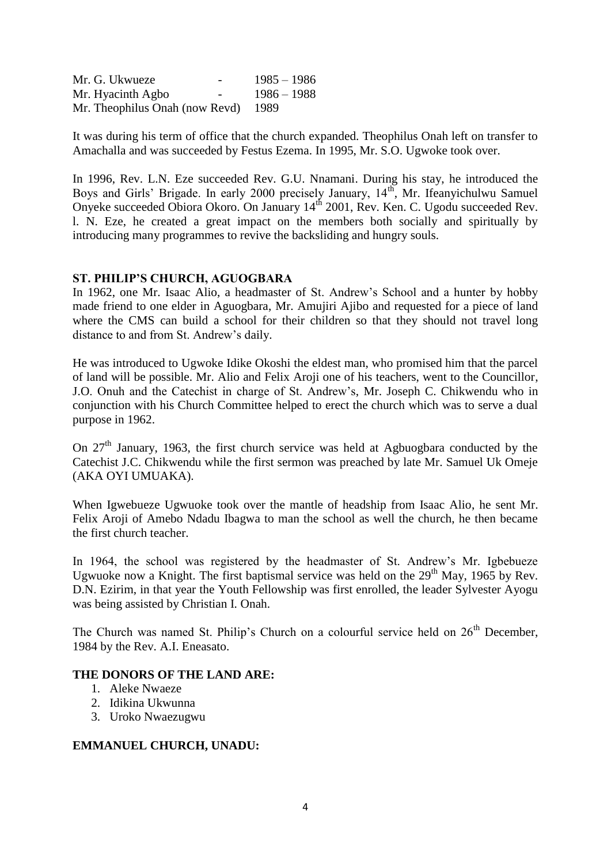Mr. G. Ukwueze - 1985 – 1986 Mr. Hyacinth Agbo - 1986 – 1988 Mr. Theophilus Onah (now Revd) 1989

It was during his term of office that the church expanded. Theophilus Onah left on transfer to Amachalla and was succeeded by Festus Ezema. In 1995, Mr. S.O. Ugwoke took over.

In 1996, Rev. L.N. Eze succeeded Rev. G.U. Nnamani. During his stay, he introduced the Boys and Girls' Brigade. In early 2000 precisely January, 14<sup>th</sup>, Mr. Ifeanyichulwu Samuel Onyeke succeeded Obiora Okoro. On January 14<sup>th</sup> 2001, Rev. Ken. C. Ugodu succeeded Rev. l. N. Eze, he created a great impact on the members both socially and spiritually by introducing many programmes to revive the backsliding and hungry souls.

## **ST. PHILIP'S CHURCH, AGUOGBARA**

In 1962, one Mr. Isaac Alio, a headmaster of St. Andrew"s School and a hunter by hobby made friend to one elder in Aguogbara, Mr. Amujiri Ajibo and requested for a piece of land where the CMS can build a school for their children so that they should not travel long distance to and from St. Andrew's daily.

He was introduced to Ugwoke Idike Okoshi the eldest man, who promised him that the parcel of land will be possible. Mr. Alio and Felix Aroji one of his teachers, went to the Councillor, J.O. Onuh and the Catechist in charge of St. Andrew"s, Mr. Joseph C. Chikwendu who in conjunction with his Church Committee helped to erect the church which was to serve a dual purpose in 1962.

On  $27<sup>th</sup>$  January, 1963, the first church service was held at Agbuogbara conducted by the Catechist J.C. Chikwendu while the first sermon was preached by late Mr. Samuel Uk Omeje (AKA OYI UMUAKA).

When Igwebueze Ugwuoke took over the mantle of headship from Isaac Alio, he sent Mr. Felix Aroji of Amebo Ndadu Ibagwa to man the school as well the church, he then became the first church teacher.

In 1964, the school was registered by the headmaster of St. Andrew's Mr. Igbebueze Ugwuoke now a Knight. The first baptismal service was held on the  $29<sup>th</sup>$  May, 1965 by Rev. D.N. Ezirim, in that year the Youth Fellowship was first enrolled, the leader Sylvester Ayogu was being assisted by Christian I. Onah.

The Church was named St. Philip's Church on a colourful service held on  $26<sup>th</sup>$  December, 1984 by the Rev. A.I. Eneasato.

### **THE DONORS OF THE LAND ARE:**

- 1. Aleke Nwaeze
- 2. Idikina Ukwunna
- 3. Uroko Nwaezugwu

### **EMMANUEL CHURCH, UNADU:**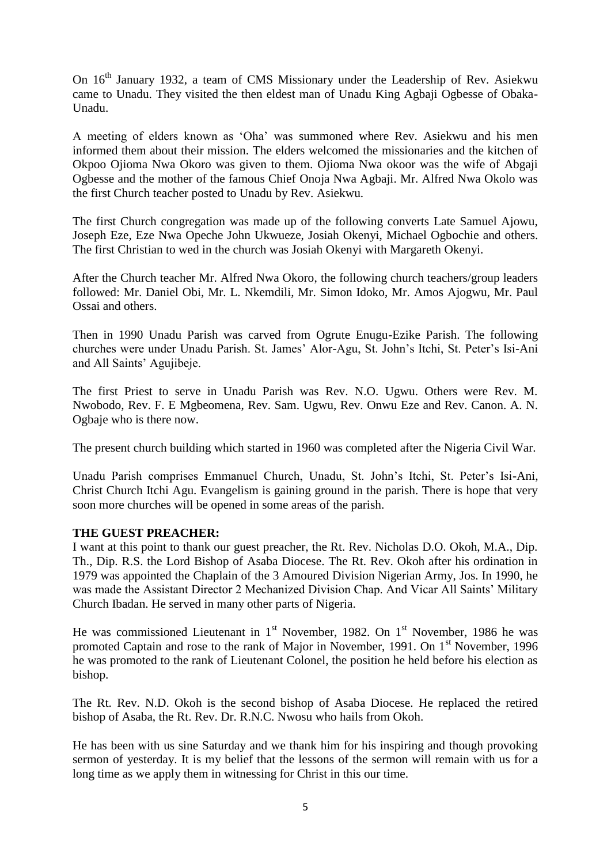On 16<sup>th</sup> January 1932, a team of CMS Missionary under the Leadership of Rev. Asiekwu came to Unadu. They visited the then eldest man of Unadu King Agbaji Ogbesse of Obaka-Unadu.

A meeting of elders known as "Oha" was summoned where Rev. Asiekwu and his men informed them about their mission. The elders welcomed the missionaries and the kitchen of Okpoo Ojioma Nwa Okoro was given to them. Ojioma Nwa okoor was the wife of Abgaji Ogbesse and the mother of the famous Chief Onoja Nwa Agbaji. Mr. Alfred Nwa Okolo was the first Church teacher posted to Unadu by Rev. Asiekwu.

The first Church congregation was made up of the following converts Late Samuel Ajowu, Joseph Eze, Eze Nwa Opeche John Ukwueze, Josiah Okenyi, Michael Ogbochie and others. The first Christian to wed in the church was Josiah Okenyi with Margareth Okenyi.

After the Church teacher Mr. Alfred Nwa Okoro, the following church teachers/group leaders followed: Mr. Daniel Obi, Mr. L. Nkemdili, Mr. Simon Idoko, Mr. Amos Ajogwu, Mr. Paul Ossai and others.

Then in 1990 Unadu Parish was carved from Ogrute Enugu-Ezike Parish. The following churches were under Unadu Parish. St. James" Alor-Agu, St. John"s Itchi, St. Peter"s Isi-Ani and All Saints" Agujibeje.

The first Priest to serve in Unadu Parish was Rev. N.O. Ugwu. Others were Rev. M. Nwobodo, Rev. F. E Mgbeomena, Rev. Sam. Ugwu, Rev. Onwu Eze and Rev. Canon. A. N. Ogbaje who is there now.

The present church building which started in 1960 was completed after the Nigeria Civil War.

Unadu Parish comprises Emmanuel Church, Unadu, St. John"s Itchi, St. Peter"s Isi-Ani, Christ Church Itchi Agu. Evangelism is gaining ground in the parish. There is hope that very soon more churches will be opened in some areas of the parish.

### **THE GUEST PREACHER:**

I want at this point to thank our guest preacher, the Rt. Rev. Nicholas D.O. Okoh, M.A., Dip. Th., Dip. R.S. the Lord Bishop of Asaba Diocese. The Rt. Rev. Okoh after his ordination in 1979 was appointed the Chaplain of the 3 Amoured Division Nigerian Army, Jos. In 1990, he was made the Assistant Director 2 Mechanized Division Chap. And Vicar All Saints' Military Church Ibadan. He served in many other parts of Nigeria.

He was commissioned Lieutenant in  $1<sup>st</sup>$  November, 1982. On  $1<sup>st</sup>$  November, 1986 he was promoted Captain and rose to the rank of Major in November, 1991. On 1<sup>st</sup> November, 1996 he was promoted to the rank of Lieutenant Colonel, the position he held before his election as bishop.

The Rt. Rev. N.D. Okoh is the second bishop of Asaba Diocese. He replaced the retired bishop of Asaba, the Rt. Rev. Dr. R.N.C. Nwosu who hails from Okoh.

He has been with us sine Saturday and we thank him for his inspiring and though provoking sermon of yesterday. It is my belief that the lessons of the sermon will remain with us for a long time as we apply them in witnessing for Christ in this our time.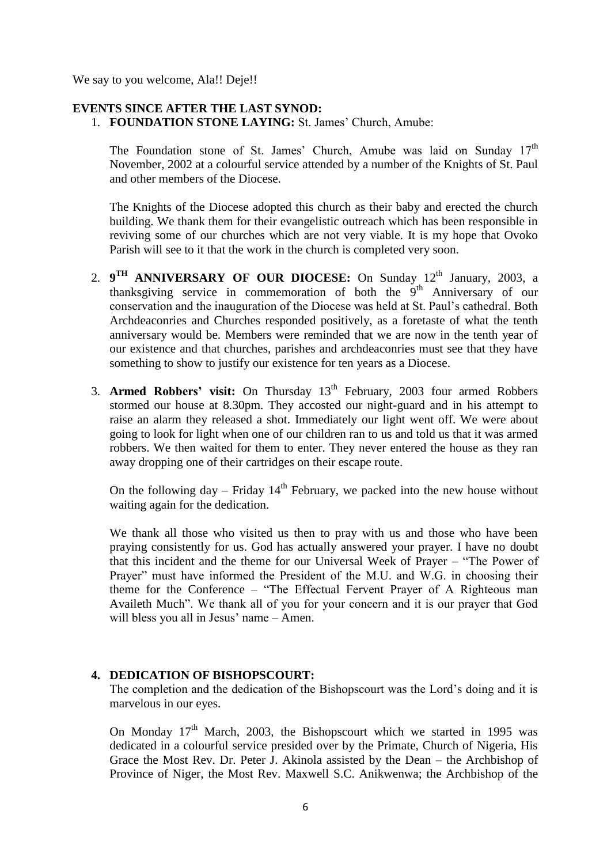We say to you welcome, Ala!! Deje!!

## **EVENTS SINCE AFTER THE LAST SYNOD:**

1. **FOUNDATION STONE LAYING:** St. James' Church, Amube:

The Foundation stone of St. James' Church, Amube was laid on Sunday  $17<sup>th</sup>$ November, 2002 at a colourful service attended by a number of the Knights of St. Paul and other members of the Diocese.

The Knights of the Diocese adopted this church as their baby and erected the church building. We thank them for their evangelistic outreach which has been responsible in reviving some of our churches which are not very viable. It is my hope that Ovoko Parish will see to it that the work in the church is completed very soon.

- 2. 9<sup>TH</sup> ANNIVERSARY OF OUR DIOCESE: On Sunday 12<sup>th</sup> January, 2003, a thanksgiving service in commemoration of both the  $9<sup>th</sup>$  Anniversary of our conservation and the inauguration of the Diocese was held at St. Paul"s cathedral. Both Archdeaconries and Churches responded positively, as a foretaste of what the tenth anniversary would be. Members were reminded that we are now in the tenth year of our existence and that churches, parishes and archdeaconries must see that they have something to show to justify our existence for ten years as a Diocese.
- 3. **Armed Robbers' visit:** On Thursday 13th February, 2003 four armed Robbers stormed our house at 8.30pm. They accosted our night-guard and in his attempt to raise an alarm they released a shot. Immediately our light went off. We were about going to look for light when one of our children ran to us and told us that it was armed robbers. We then waited for them to enter. They never entered the house as they ran away dropping one of their cartridges on their escape route.

On the following day – Friday  $14<sup>th</sup>$  February, we packed into the new house without waiting again for the dedication.

We thank all those who visited us then to pray with us and those who have been praying consistently for us. God has actually answered your prayer. I have no doubt that this incident and the theme for our Universal Week of Prayer – "The Power of Prayer" must have informed the President of the M.U. and W.G. in choosing their theme for the Conference – "The Effectual Fervent Prayer of A Righteous man Availeth Much". We thank all of you for your concern and it is our prayer that God will bless you all in Jesus' name – Amen.

### **4. DEDICATION OF BISHOPSCOURT:**

The completion and the dedication of the Bishopscourt was the Lord"s doing and it is marvelous in our eyes.

On Monday 17<sup>th</sup> March, 2003, the Bishopscourt which we started in 1995 was dedicated in a colourful service presided over by the Primate, Church of Nigeria, His Grace the Most Rev. Dr. Peter J. Akinola assisted by the Dean – the Archbishop of Province of Niger, the Most Rev. Maxwell S.C. Anikwenwa; the Archbishop of the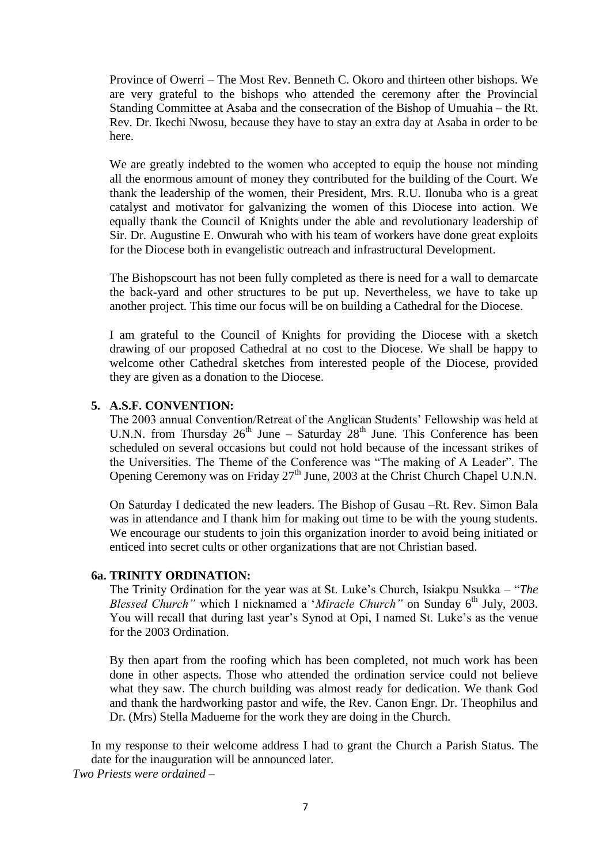Province of Owerri – The Most Rev. Benneth C. Okoro and thirteen other bishops. We are very grateful to the bishops who attended the ceremony after the Provincial Standing Committee at Asaba and the consecration of the Bishop of Umuahia – the Rt. Rev. Dr. Ikechi Nwosu, because they have to stay an extra day at Asaba in order to be here.

We are greatly indebted to the women who accepted to equip the house not minding all the enormous amount of money they contributed for the building of the Court. We thank the leadership of the women, their President, Mrs. R.U. Ilonuba who is a great catalyst and motivator for galvanizing the women of this Diocese into action. We equally thank the Council of Knights under the able and revolutionary leadership of Sir. Dr. Augustine E. Onwurah who with his team of workers have done great exploits for the Diocese both in evangelistic outreach and infrastructural Development.

The Bishopscourt has not been fully completed as there is need for a wall to demarcate the back-yard and other structures to be put up. Nevertheless, we have to take up another project. This time our focus will be on building a Cathedral for the Diocese.

I am grateful to the Council of Knights for providing the Diocese with a sketch drawing of our proposed Cathedral at no cost to the Diocese. We shall be happy to welcome other Cathedral sketches from interested people of the Diocese, provided they are given as a donation to the Diocese.

### **5. A.S.F. CONVENTION:**

The 2003 annual Convention/Retreat of the Anglican Students" Fellowship was held at U.N.N. from Thursday  $26<sup>th</sup>$  June – Saturday  $28<sup>th</sup>$  June. This Conference has been scheduled on several occasions but could not hold because of the incessant strikes of the Universities. The Theme of the Conference was "The making of A Leader". The Opening Ceremony was on Friday  $27<sup>th</sup>$  June, 2003 at the Christ Church Chapel U.N.N.

On Saturday I dedicated the new leaders. The Bishop of Gusau –Rt. Rev. Simon Bala was in attendance and I thank him for making out time to be with the young students. We encourage our students to join this organization inorder to avoid being initiated or enticed into secret cults or other organizations that are not Christian based.

#### **6a. TRINITY ORDINATION:**

The Trinity Ordination for the year was at St. Luke"s Church, Isiakpu Nsukka – "*The Blessed Church"* which I nicknamed a '*Miracle Church"* on Sunday 6<sup>th</sup> July, 2003. You will recall that during last year's Synod at Opi, I named St. Luke's as the venue for the 2003 Ordination.

By then apart from the roofing which has been completed, not much work has been done in other aspects. Those who attended the ordination service could not believe what they saw. The church building was almost ready for dedication. We thank God and thank the hardworking pastor and wife, the Rev. Canon Engr. Dr. Theophilus and Dr. (Mrs) Stella Madueme for the work they are doing in the Church.

In my response to their welcome address I had to grant the Church a Parish Status. The date for the inauguration will be announced later. *Two Priests were ordained –*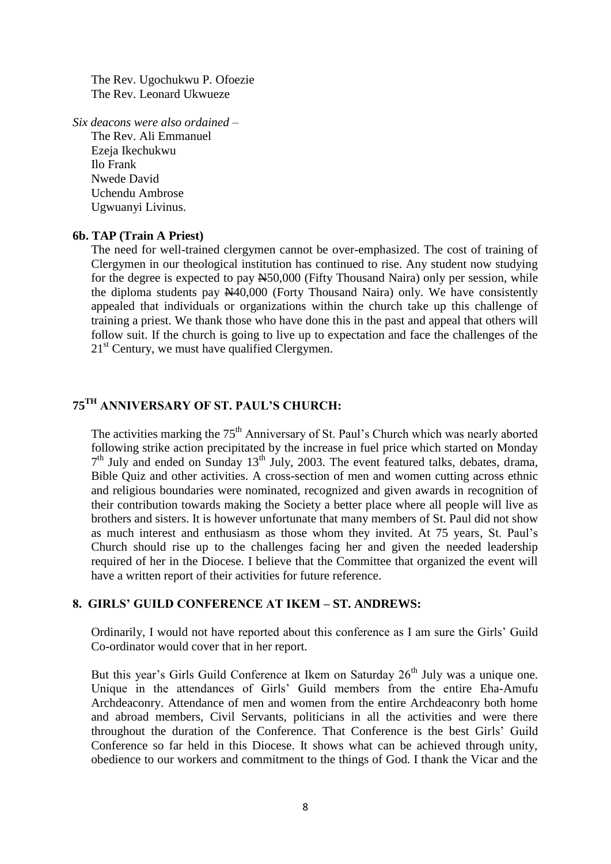The Rev. Ugochukwu P. Ofoezie The Rev. Leonard Ukwueze

*Six deacons were also ordained –*

The Rev. Ali Emmanuel Ezeja Ikechukwu Ilo Frank Nwede David Uchendu Ambrose Ugwuanyi Livinus.

#### **6b. TAP (Train A Priest)**

The need for well-trained clergymen cannot be over-emphasized. The cost of training of Clergymen in our theological institution has continued to rise. Any student now studying for the degree is expected to pay  $\frac{N50,000}{N}$  (Fifty Thousand Naira) only per session, while the diploma students pay  $\frac{N40,000}{N}$  (Forty Thousand Naira) only. We have consistently appealed that individuals or organizations within the church take up this challenge of training a priest. We thank those who have done this in the past and appeal that others will follow suit. If the church is going to live up to expectation and face the challenges of the 21<sup>st</sup> Century, we must have qualified Clergymen.

# **75TH ANNIVERSARY OF ST. PAUL'S CHURCH:**

The activities marking the 75<sup>th</sup> Anniversary of St. Paul's Church which was nearly aborted following strike action precipitated by the increase in fuel price which started on Monday 7<sup>th</sup> July and ended on Sunday 13<sup>th</sup> July, 2003. The event featured talks, debates, drama, Bible Quiz and other activities. A cross-section of men and women cutting across ethnic and religious boundaries were nominated, recognized and given awards in recognition of their contribution towards making the Society a better place where all people will live as brothers and sisters. It is however unfortunate that many members of St. Paul did not show as much interest and enthusiasm as those whom they invited. At 75 years, St. Paul"s Church should rise up to the challenges facing her and given the needed leadership required of her in the Diocese. I believe that the Committee that organized the event will have a written report of their activities for future reference.

### **8. GIRLS' GUILD CONFERENCE AT IKEM – ST. ANDREWS:**

Ordinarily, I would not have reported about this conference as I am sure the Girls" Guild Co-ordinator would cover that in her report.

But this year's Girls Guild Conference at Ikem on Saturday 26<sup>th</sup> July was a unique one. Unique in the attendances of Girls" Guild members from the entire Eha-Amufu Archdeaconry. Attendance of men and women from the entire Archdeaconry both home and abroad members, Civil Servants, politicians in all the activities and were there throughout the duration of the Conference. That Conference is the best Girls" Guild Conference so far held in this Diocese. It shows what can be achieved through unity, obedience to our workers and commitment to the things of God. I thank the Vicar and the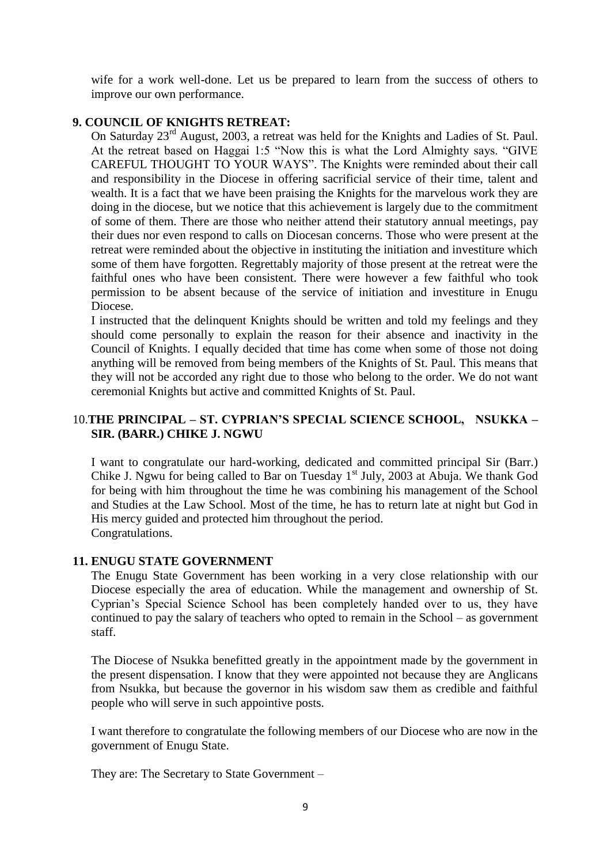wife for a work well-done. Let us be prepared to learn from the success of others to improve our own performance.

## **9. COUNCIL OF KNIGHTS RETREAT:**

On Saturday 23rd August, 2003, a retreat was held for the Knights and Ladies of St. Paul. At the retreat based on Haggai 1:5 "Now this is what the Lord Almighty says. "GIVE CAREFUL THOUGHT TO YOUR WAYS". The Knights were reminded about their call and responsibility in the Diocese in offering sacrificial service of their time, talent and wealth. It is a fact that we have been praising the Knights for the marvelous work they are doing in the diocese, but we notice that this achievement is largely due to the commitment of some of them. There are those who neither attend their statutory annual meetings, pay their dues nor even respond to calls on Diocesan concerns. Those who were present at the retreat were reminded about the objective in instituting the initiation and investiture which some of them have forgotten. Regrettably majority of those present at the retreat were the faithful ones who have been consistent. There were however a few faithful who took permission to be absent because of the service of initiation and investiture in Enugu Diocese.

I instructed that the delinquent Knights should be written and told my feelings and they should come personally to explain the reason for their absence and inactivity in the Council of Knights. I equally decided that time has come when some of those not doing anything will be removed from being members of the Knights of St. Paul. This means that they will not be accorded any right due to those who belong to the order. We do not want ceremonial Knights but active and committed Knights of St. Paul.

# 10.**THE PRINCIPAL – ST. CYPRIAN'S SPECIAL SCIENCE SCHOOL, NSUKKA – SIR. (BARR.) CHIKE J. NGWU**

I want to congratulate our hard-working, dedicated and committed principal Sir (Barr.) Chike J. Ngwu for being called to Bar on Tuesday  $1<sup>st</sup>$  July, 2003 at Abuja. We thank God for being with him throughout the time he was combining his management of the School and Studies at the Law School. Most of the time, he has to return late at night but God in His mercy guided and protected him throughout the period. Congratulations.

### **11. ENUGU STATE GOVERNMENT**

The Enugu State Government has been working in a very close relationship with our Diocese especially the area of education. While the management and ownership of St. Cyprian"s Special Science School has been completely handed over to us, they have continued to pay the salary of teachers who opted to remain in the School – as government staff.

The Diocese of Nsukka benefitted greatly in the appointment made by the government in the present dispensation. I know that they were appointed not because they are Anglicans from Nsukka, but because the governor in his wisdom saw them as credible and faithful people who will serve in such appointive posts.

I want therefore to congratulate the following members of our Diocese who are now in the government of Enugu State.

They are: The Secretary to State Government –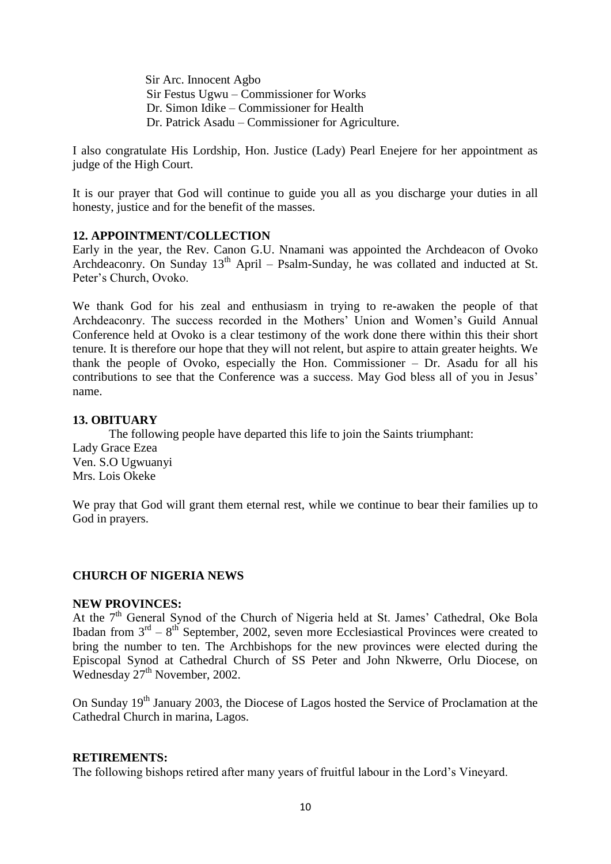Sir Arc. Innocent Agbo Sir Festus Ugwu – Commissioner for Works Dr. Simon Idike – Commissioner for Health Dr. Patrick Asadu – Commissioner for Agriculture.

I also congratulate His Lordship, Hon. Justice (Lady) Pearl Enejere for her appointment as judge of the High Court.

It is our prayer that God will continue to guide you all as you discharge your duties in all honesty, justice and for the benefit of the masses.

### **12. APPOINTMENT/COLLECTION**

Early in the year, the Rev. Canon G.U. Nnamani was appointed the Archdeacon of Ovoko Archdeaconry. On Sunday  $13<sup>th</sup>$  April – Psalm-Sunday, he was collated and inducted at St. Peter"s Church, Ovoko.

We thank God for his zeal and enthusiasm in trying to re-awaken the people of that Archdeaconry. The success recorded in the Mothers" Union and Women"s Guild Annual Conference held at Ovoko is a clear testimony of the work done there within this their short tenure. It is therefore our hope that they will not relent, but aspire to attain greater heights. We thank the people of Ovoko, especially the Hon. Commissioner – Dr. Asadu for all his contributions to see that the Conference was a success. May God bless all of you in Jesus' name.

## **13. OBITUARY**

The following people have departed this life to join the Saints triumphant: Lady Grace Ezea Ven. S.O Ugwuanyi Mrs. Lois Okeke

We pray that God will grant them eternal rest, while we continue to bear their families up to God in prayers.

### **CHURCH OF NIGERIA NEWS**

### **NEW PROVINCES:**

At the 7<sup>th</sup> General Synod of the Church of Nigeria held at St. James' Cathedral, Oke Bola Ibadan from  $3<sup>rd</sup> - 8<sup>th</sup>$  September, 2002, seven more Ecclesiastical Provinces were created to bring the number to ten. The Archbishops for the new provinces were elected during the Episcopal Synod at Cathedral Church of SS Peter and John Nkwerre, Orlu Diocese, on Wednesday  $27<sup>th</sup>$  November, 2002.

On Sunday 19<sup>th</sup> January 2003, the Diocese of Lagos hosted the Service of Proclamation at the Cathedral Church in marina, Lagos.

### **RETIREMENTS:**

The following bishops retired after many years of fruitful labour in the Lord"s Vineyard.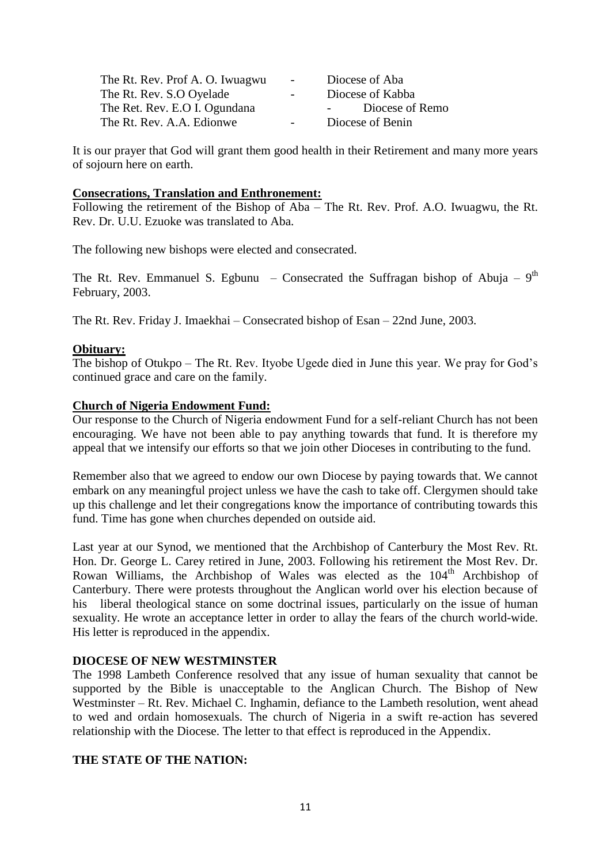| The Rt. Rev. Prof A. O. Iwuagwu | $\sim$ 100 $\mu$ | Diocese of Aba                |
|---------------------------------|------------------|-------------------------------|
| The Rt. Rev. S.O Oyelade        | $\sim$ $\sim$    | Diocese of Kabba              |
| The Ret. Rev. E.O I. Ogundana   |                  | Diocese of Remo<br>$\sim 100$ |
| The Rt. Rev. A.A. Edionwe       | $\sim$ 100 $\mu$ | Diocese of Benin              |

It is our prayer that God will grant them good health in their Retirement and many more years of sojourn here on earth.

#### **Consecrations, Translation and Enthronement:**

Following the retirement of the Bishop of Aba – The Rt. Rev. Prof. A.O. Iwuagwu, the Rt. Rev. Dr. U.U. Ezuoke was translated to Aba.

The following new bishops were elected and consecrated.

The Rt. Rev. Emmanuel S. Egbunu – Consecrated the Suffragan bishop of Abuja –  $9<sup>th</sup>$ February, 2003.

The Rt. Rev. Friday J. Imaekhai – Consecrated bishop of Esan – 22nd June, 2003.

### **Obituary:**

The bishop of Otukpo – The Rt. Rev. Ityobe Ugede died in June this year. We pray for God"s continued grace and care on the family.

### **Church of Nigeria Endowment Fund:**

Our response to the Church of Nigeria endowment Fund for a self-reliant Church has not been encouraging. We have not been able to pay anything towards that fund. It is therefore my appeal that we intensify our efforts so that we join other Dioceses in contributing to the fund.

Remember also that we agreed to endow our own Diocese by paying towards that. We cannot embark on any meaningful project unless we have the cash to take off. Clergymen should take up this challenge and let their congregations know the importance of contributing towards this fund. Time has gone when churches depended on outside aid.

Last year at our Synod, we mentioned that the Archbishop of Canterbury the Most Rev. Rt. Hon. Dr. George L. Carey retired in June, 2003. Following his retirement the Most Rev. Dr. Rowan Williams, the Archbishop of Wales was elected as the 104<sup>th</sup> Archbishop of Canterbury. There were protests throughout the Anglican world over his election because of his liberal theological stance on some doctrinal issues, particularly on the issue of human sexuality. He wrote an acceptance letter in order to allay the fears of the church world-wide. His letter is reproduced in the appendix.

### **DIOCESE OF NEW WESTMINSTER**

The 1998 Lambeth Conference resolved that any issue of human sexuality that cannot be supported by the Bible is unacceptable to the Anglican Church. The Bishop of New Westminster – Rt. Rev. Michael C. Inghamin, defiance to the Lambeth resolution, went ahead to wed and ordain homosexuals. The church of Nigeria in a swift re-action has severed relationship with the Diocese. The letter to that effect is reproduced in the Appendix.

### **THE STATE OF THE NATION:**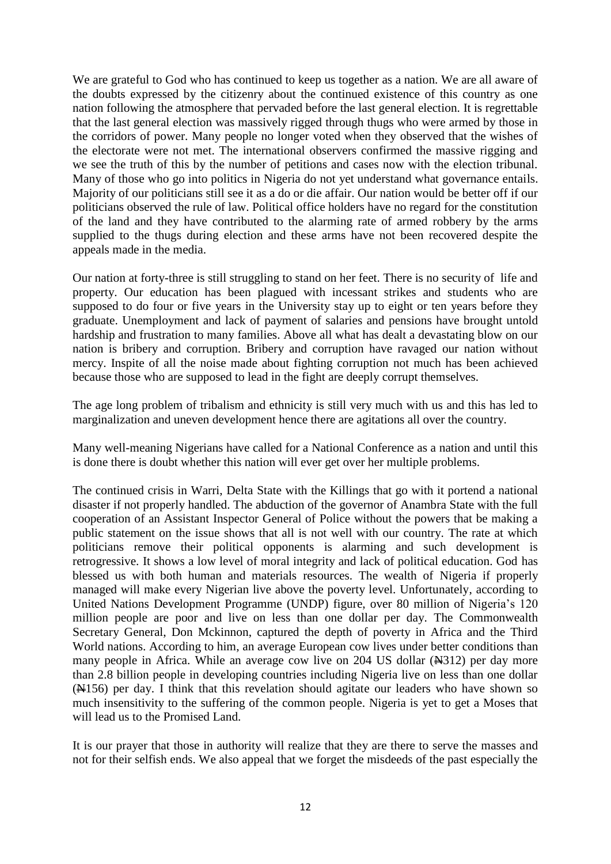We are grateful to God who has continued to keep us together as a nation. We are all aware of the doubts expressed by the citizenry about the continued existence of this country as one nation following the atmosphere that pervaded before the last general election. It is regrettable that the last general election was massively rigged through thugs who were armed by those in the corridors of power. Many people no longer voted when they observed that the wishes of the electorate were not met. The international observers confirmed the massive rigging and we see the truth of this by the number of petitions and cases now with the election tribunal. Many of those who go into politics in Nigeria do not yet understand what governance entails. Majority of our politicians still see it as a do or die affair. Our nation would be better off if our politicians observed the rule of law. Political office holders have no regard for the constitution of the land and they have contributed to the alarming rate of armed robbery by the arms supplied to the thugs during election and these arms have not been recovered despite the appeals made in the media.

Our nation at forty-three is still struggling to stand on her feet. There is no security of life and property. Our education has been plagued with incessant strikes and students who are supposed to do four or five years in the University stay up to eight or ten years before they graduate. Unemployment and lack of payment of salaries and pensions have brought untold hardship and frustration to many families. Above all what has dealt a devastating blow on our nation is bribery and corruption. Bribery and corruption have ravaged our nation without mercy. Inspite of all the noise made about fighting corruption not much has been achieved because those who are supposed to lead in the fight are deeply corrupt themselves.

The age long problem of tribalism and ethnicity is still very much with us and this has led to marginalization and uneven development hence there are agitations all over the country.

Many well-meaning Nigerians have called for a National Conference as a nation and until this is done there is doubt whether this nation will ever get over her multiple problems.

The continued crisis in Warri, Delta State with the Killings that go with it portend a national disaster if not properly handled. The abduction of the governor of Anambra State with the full cooperation of an Assistant Inspector General of Police without the powers that be making a public statement on the issue shows that all is not well with our country. The rate at which politicians remove their political opponents is alarming and such development is retrogressive. It shows a low level of moral integrity and lack of political education. God has blessed us with both human and materials resources. The wealth of Nigeria if properly managed will make every Nigerian live above the poverty level. Unfortunately, according to United Nations Development Programme (UNDP) figure, over 80 million of Nigeria"s 120 million people are poor and live on less than one dollar per day. The Commonwealth Secretary General, Don Mckinnon, captured the depth of poverty in Africa and the Third World nations. According to him, an average European cow lives under better conditions than many people in Africa. While an average cow live on  $204$  US dollar  $(\frac{14312}{12})$  per day more than 2.8 billion people in developing countries including Nigeria live on less than one dollar (N156) per day. I think that this revelation should agitate our leaders who have shown so much insensitivity to the suffering of the common people. Nigeria is yet to get a Moses that will lead us to the Promised Land.

It is our prayer that those in authority will realize that they are there to serve the masses and not for their selfish ends. We also appeal that we forget the misdeeds of the past especially the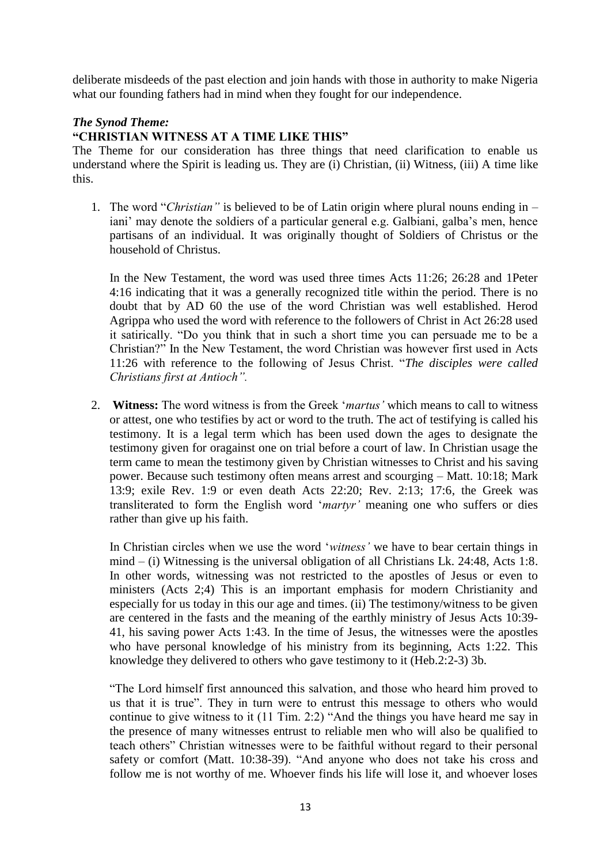deliberate misdeeds of the past election and join hands with those in authority to make Nigeria what our founding fathers had in mind when they fought for our independence.

# *The Synod Theme:*

# **"CHRISTIAN WITNESS AT A TIME LIKE THIS"**

The Theme for our consideration has three things that need clarification to enable us understand where the Spirit is leading us. They are (i) Christian, (ii) Witness, (iii) A time like this.

1. The word "*Christian"* is believed to be of Latin origin where plural nouns ending in – iani' may denote the soldiers of a particular general e.g. Galbiani, galba's men, hence partisans of an individual. It was originally thought of Soldiers of Christus or the household of Christus.

In the New Testament, the word was used three times Acts 11:26; 26:28 and 1Peter 4:16 indicating that it was a generally recognized title within the period. There is no doubt that by AD 60 the use of the word Christian was well established. Herod Agrippa who used the word with reference to the followers of Christ in Act 26:28 used it satirically. "Do you think that in such a short time you can persuade me to be a Christian?" In the New Testament, the word Christian was however first used in Acts 11:26 with reference to the following of Jesus Christ. "*The disciples were called Christians first at Antioch".*

2. **Witness:** The word witness is from the Greek "*martus"* which means to call to witness or attest, one who testifies by act or word to the truth. The act of testifying is called his testimony. It is a legal term which has been used down the ages to designate the testimony given for oragainst one on trial before a court of law. In Christian usage the term came to mean the testimony given by Christian witnesses to Christ and his saving power. Because such testimony often means arrest and scourging – Matt. 10:18; Mark 13:9; exile Rev. 1:9 or even death Acts 22:20; Rev. 2:13; 17:6, the Greek was transliterated to form the English word "*martyr"* meaning one who suffers or dies rather than give up his faith.

In Christian circles when we use the word "*witness"* we have to bear certain things in mind – (i) Witnessing is the universal obligation of all Christians Lk. 24:48, Acts 1:8. In other words, witnessing was not restricted to the apostles of Jesus or even to ministers (Acts 2;4) This is an important emphasis for modern Christianity and especially for us today in this our age and times. (ii) The testimony/witness to be given are centered in the fasts and the meaning of the earthly ministry of Jesus Acts 10:39- 41, his saving power Acts 1:43. In the time of Jesus, the witnesses were the apostles who have personal knowledge of his ministry from its beginning, Acts 1:22. This knowledge they delivered to others who gave testimony to it (Heb.2:2-3) 3b.

"The Lord himself first announced this salvation, and those who heard him proved to us that it is true". They in turn were to entrust this message to others who would continue to give witness to it (11 Tim. 2:2) "And the things you have heard me say in the presence of many witnesses entrust to reliable men who will also be qualified to teach others" Christian witnesses were to be faithful without regard to their personal safety or comfort (Matt. 10:38-39). "And anyone who does not take his cross and follow me is not worthy of me. Whoever finds his life will lose it, and whoever loses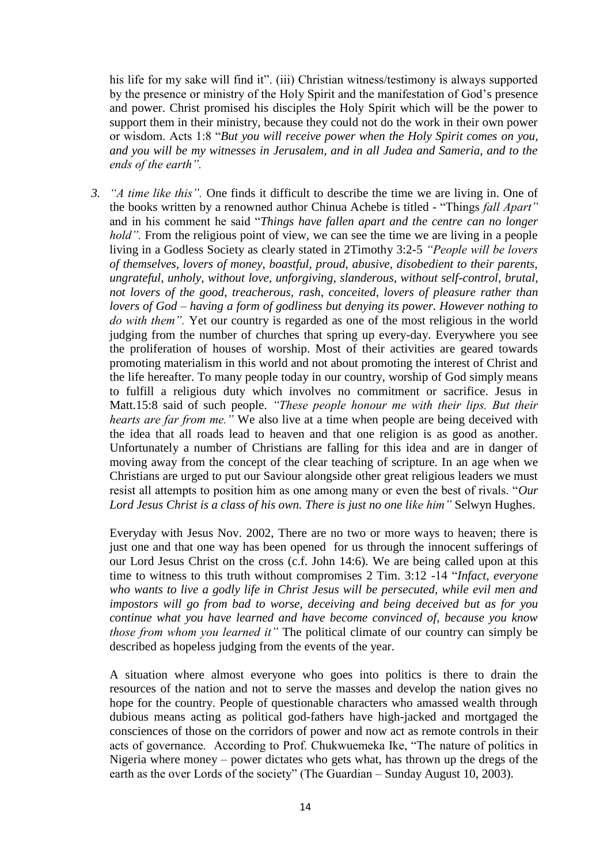his life for my sake will find it". (iii) Christian witness/testimony is always supported by the presence or ministry of the Holy Spirit and the manifestation of God"s presence and power. Christ promised his disciples the Holy Spirit which will be the power to support them in their ministry, because they could not do the work in their own power or wisdom. Acts 1:8 "*But you will receive power when the Holy Spirit comes on you, and you will be my witnesses in Jerusalem, and in all Judea and Sameria, and to the ends of the earth".*

*3. "A time like this".* One finds it difficult to describe the time we are living in. One of the books written by a renowned author Chinua Achebe is titled - "Things *fall Apart"* and in his comment he said "*Things have fallen apart and the centre can no longer hold*". From the religious point of view, we can see the time we are living in a people living in a Godless Society as clearly stated in 2Timothy 3:2-5 *"People will be lovers of themselves, lovers of money, boastful, proud, abusive, disobedient to their parents, ungrateful, unholy, without love, unforgiving, slanderous, without self-control, brutal, not lovers of the good, treacherous, rash, conceited, lovers of pleasure rather than lovers of God – having a form of godliness but denying its power. However nothing to do with them".* Yet our country is regarded as one of the most religious in the world judging from the number of churches that spring up every-day. Everywhere you see the proliferation of houses of worship. Most of their activities are geared towards promoting materialism in this world and not about promoting the interest of Christ and the life hereafter. To many people today in our country, worship of God simply means to fulfill a religious duty which involves no commitment or sacrifice. Jesus in Matt.15:8 said of such people. *"These people honour me with their lips. But their hearts are far from me."* We also live at a time when people are being deceived with the idea that all roads lead to heaven and that one religion is as good as another. Unfortunately a number of Christians are falling for this idea and are in danger of moving away from the concept of the clear teaching of scripture. In an age when we Christians are urged to put our Saviour alongside other great religious leaders we must resist all attempts to position him as one among many or even the best of rivals. "*Our Lord Jesus Christ is a class of his own. There is just no one like him"* Selwyn Hughes.

Everyday with Jesus Nov. 2002, There are no two or more ways to heaven; there is just one and that one way has been opened for us through the innocent sufferings of our Lord Jesus Christ on the cross (c.f. John 14:6). We are being called upon at this time to witness to this truth without compromises 2 Tim. 3:12 -14 "*Infact, everyone who wants to live a godly life in Christ Jesus will be persecuted, while evil men and impostors will go from bad to worse, deceiving and being deceived but as for you continue what you have learned and have become convinced of, because you know those from whom you learned it"* The political climate of our country can simply be described as hopeless judging from the events of the year.

A situation where almost everyone who goes into politics is there to drain the resources of the nation and not to serve the masses and develop the nation gives no hope for the country. People of questionable characters who amassed wealth through dubious means acting as political god-fathers have high-jacked and mortgaged the consciences of those on the corridors of power and now act as remote controls in their acts of governance. According to Prof. Chukwuemeka Ike, "The nature of politics in Nigeria where money – power dictates who gets what, has thrown up the dregs of the earth as the over Lords of the society" (The Guardian – Sunday August 10, 2003).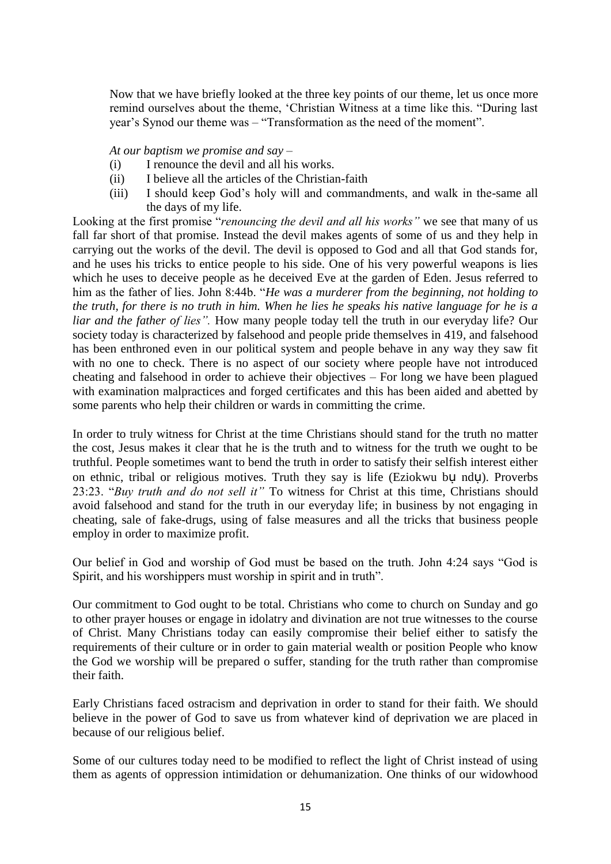Now that we have briefly looked at the three key points of our theme, let us once more remind ourselves about the theme, "Christian Witness at a time like this. "During last year"s Synod our theme was – "Transformation as the need of the moment".

*At our baptism we promise and say –*

- (i) I renounce the devil and all his works.
- (ii) I believe all the articles of the Christian-faith
- (iii) I should keep God"s holy will and commandments, and walk in the-same all the days of my life.

Looking at the first promise "*renouncing the devil and all his works"* we see that many of us fall far short of that promise. Instead the devil makes agents of some of us and they help in carrying out the works of the devil. The devil is opposed to God and all that God stands for, and he uses his tricks to entice people to his side. One of his very powerful weapons is lies which he uses to deceive people as he deceived Eve at the garden of Eden. Jesus referred to him as the father of lies. John 8:44b. "*He was a murderer from the beginning, not holding to the truth, for there is no truth in him. When he lies he speaks his native language for he is a liar and the father of lies".* How many people today tell the truth in our everyday life? Our society today is characterized by falsehood and people pride themselves in 419, and falsehood has been enthroned even in our political system and people behave in any way they saw fit with no one to check. There is no aspect of our society where people have not introduced cheating and falsehood in order to achieve their objectives – For long we have been plagued with examination malpractices and forged certificates and this has been aided and abetted by some parents who help their children or wards in committing the crime.

In order to truly witness for Christ at the time Christians should stand for the truth no matter the cost, Jesus makes it clear that he is the truth and to witness for the truth we ought to be truthful. People sometimes want to bend the truth in order to satisfy their selfish interest either on ethnic, tribal or religious motives. Truth they say is life (Eziokwu bụ ndụ). Proverbs 23:23. "*Buy truth and do not sell it"* To witness for Christ at this time, Christians should avoid falsehood and stand for the truth in our everyday life; in business by not engaging in cheating, sale of fake-drugs, using of false measures and all the tricks that business people employ in order to maximize profit.

Our belief in God and worship of God must be based on the truth. John 4:24 says "God is Spirit, and his worshippers must worship in spirit and in truth".

Our commitment to God ought to be total. Christians who come to church on Sunday and go to other prayer houses or engage in idolatry and divination are not true witnesses to the course of Christ. Many Christians today can easily compromise their belief either to satisfy the requirements of their culture or in order to gain material wealth or position People who know the God we worship will be prepared o suffer, standing for the truth rather than compromise their faith.

Early Christians faced ostracism and deprivation in order to stand for their faith. We should believe in the power of God to save us from whatever kind of deprivation we are placed in because of our religious belief.

Some of our cultures today need to be modified to reflect the light of Christ instead of using them as agents of oppression intimidation or dehumanization. One thinks of our widowhood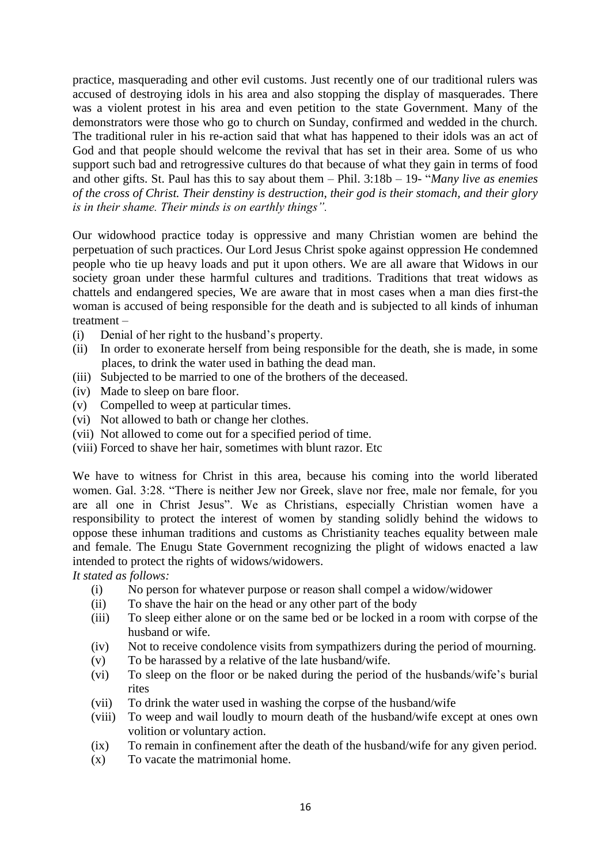practice, masquerading and other evil customs. Just recently one of our traditional rulers was accused of destroying idols in his area and also stopping the display of masquerades. There was a violent protest in his area and even petition to the state Government. Many of the demonstrators were those who go to church on Sunday, confirmed and wedded in the church. The traditional ruler in his re-action said that what has happened to their idols was an act of God and that people should welcome the revival that has set in their area. Some of us who support such bad and retrogressive cultures do that because of what they gain in terms of food and other gifts. St. Paul has this to say about them – Phil. 3:18b – 19- "*Many live as enemies of the cross of Christ. Their denstiny is destruction*, *their god is their stomach, and their glory is in their shame. Their minds is on earthly things".*

Our widowhood practice today is oppressive and many Christian women are behind the perpetuation of such practices. Our Lord Jesus Christ spoke against oppression He condemned people who tie up heavy loads and put it upon others. We are all aware that Widows in our society groan under these harmful cultures and traditions. Traditions that treat widows as chattels and endangered species, We are aware that in most cases when a man dies first-the woman is accused of being responsible for the death and is subjected to all kinds of inhuman treatment –

- (i) Denial of her right to the husband"s property.
- (ii) In order to exonerate herself from being responsible for the death, she is made, in some places, to drink the water used in bathing the dead man.
- (iii) Subjected to be married to one of the brothers of the deceased.
- (iv) Made to sleep on bare floor.
- (v) Compelled to weep at particular times.
- (vi) Not allowed to bath or change her clothes.
- (vii) Not allowed to come out for a specified period of time.
- (viii) Forced to shave her hair, sometimes with blunt razor. Etc

We have to witness for Christ in this area, because his coming into the world liberated women. Gal. 3:28. "There is neither Jew nor Greek, slave nor free, male nor female, for you are all one in Christ Jesus". We as Christians, especially Christian women have a responsibility to protect the interest of women by standing solidly behind the widows to oppose these inhuman traditions and customs as Christianity teaches equality between male and female. The Enugu State Government recognizing the plight of widows enacted a law intended to protect the rights of widows/widowers.

*It stated as follows:*

- (i) No person for whatever purpose or reason shall compel a widow/widower
- (ii) To shave the hair on the head or any other part of the body
- (iii) To sleep either alone or on the same bed or be locked in a room with corpse of the husband or wife.
- (iv) Not to receive condolence visits from sympathizers during the period of mourning.
- (v) To be harassed by a relative of the late husband/wife.
- (vi) To sleep on the floor or be naked during the period of the husbands/wife"s burial rites
- (vii) To drink the water used in washing the corpse of the husband/wife
- (viii) To weep and wail loudly to mourn death of the husband/wife except at ones own volition or voluntary action.
- (ix) To remain in confinement after the death of the husband/wife for any given period.
- (x) To vacate the matrimonial home.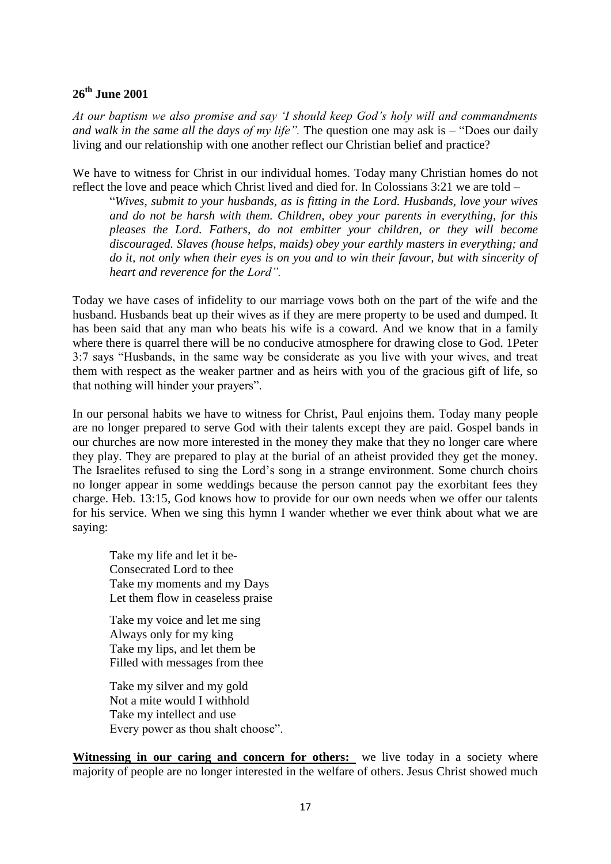# **26th June 2001**

*At our baptism we also promise and say "I should keep God"s holy will and commandments and walk in the same all the days of my life".* The question one may ask is – "Does our daily living and our relationship with one another reflect our Christian belief and practice?

We have to witness for Christ in our individual homes. Today many Christian homes do not reflect the love and peace which Christ lived and died for. In Colossians 3:21 we are told –

"*Wives, submit to your husbands, as is fitting in the Lord. Husbands, love your wives and do not be harsh with them. Children, obey your parents in everything, for this pleases the Lord. Fathers, do not embitter your children, or they will become discouraged. Slaves (house helps, maids) obey your earthly masters in everything; and do it, not only when their eyes is on you and to win their favour, but with sincerity of heart and reverence for the Lord".*

Today we have cases of infidelity to our marriage vows both on the part of the wife and the husband. Husbands beat up their wives as if they are mere property to be used and dumped. It has been said that any man who beats his wife is a coward. And we know that in a family where there is quarrel there will be no conducive atmosphere for drawing close to God. 1Peter 3:7 says "Husbands, in the same way be considerate as you live with your wives, and treat them with respect as the weaker partner and as heirs with you of the gracious gift of life, so that nothing will hinder your prayers".

In our personal habits we have to witness for Christ, Paul enjoins them. Today many people are no longer prepared to serve God with their talents except they are paid. Gospel bands in our churches are now more interested in the money they make that they no longer care where they play. They are prepared to play at the burial of an atheist provided they get the money. The Israelites refused to sing the Lord"s song in a strange environment. Some church choirs no longer appear in some weddings because the person cannot pay the exorbitant fees they charge. Heb. 13:15, God knows how to provide for our own needs when we offer our talents for his service. When we sing this hymn I wander whether we ever think about what we are saying:

Take my life and let it be-Consecrated Lord to thee Take my moments and my Days Let them flow in ceaseless praise

Take my voice and let me sing Always only for my king Take my lips, and let them be Filled with messages from thee

Take my silver and my gold Not a mite would I withhold Take my intellect and use Every power as thou shalt choose".

**Witnessing in our caring and concern for others:** we live today in a society where majority of people are no longer interested in the welfare of others. Jesus Christ showed much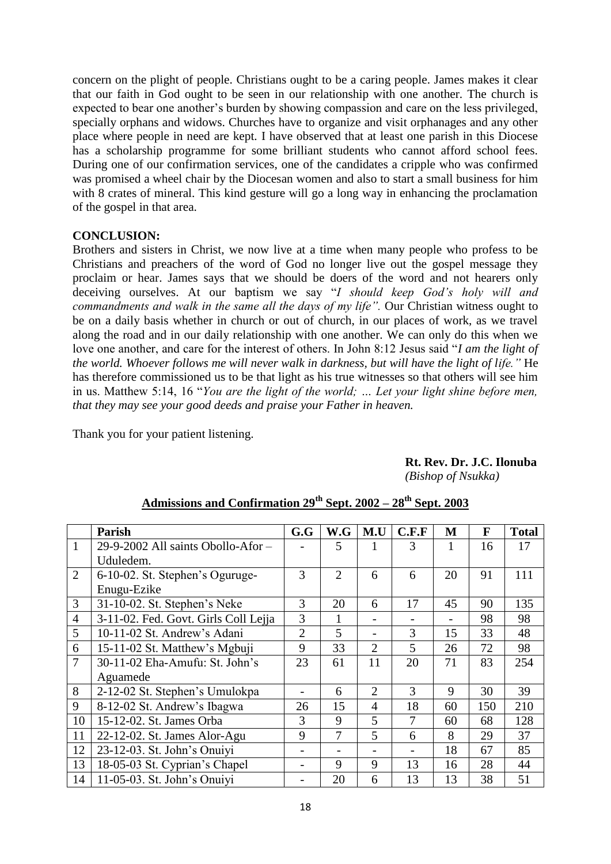concern on the plight of people. Christians ought to be a caring people. James makes it clear that our faith in God ought to be seen in our relationship with one another. The church is expected to bear one another"s burden by showing compassion and care on the less privileged, specially orphans and widows. Churches have to organize and visit orphanages and any other place where people in need are kept. I have observed that at least one parish in this Diocese has a scholarship programme for some brilliant students who cannot afford school fees. During one of our confirmation services, one of the candidates a cripple who was confirmed was promised a wheel chair by the Diocesan women and also to start a small business for him with 8 crates of mineral. This kind gesture will go a long way in enhancing the proclamation of the gospel in that area.

### **CONCLUSION:**

Brothers and sisters in Christ, we now live at a time when many people who profess to be Christians and preachers of the word of God no longer live out the gospel message they proclaim or hear. James says that we should be doers of the word and not hearers only deceiving ourselves. At our baptism we say "*I should keep God"s holy will and commandments and walk in the same all the days of my life".* Our Christian witness ought to be on a daily basis whether in church or out of church, in our places of work, as we travel along the road and in our daily relationship with one another. We can only do this when we love one another, and care for the interest of others. In John 8:12 Jesus said "*I am the light of the world. Whoever follows me will never walk in darkness, but will have the light of life."* He has therefore commissioned us to be that light as his true witnesses so that others will see him in us. Matthew 5:14, 16 "*You are the light of the world; … Let your light shine before men, that they may see your good deeds and praise your Father in heaven.*

Thank you for your patient listening.

| Rt. Rev. Dr. J.C. Ilonuba |
|---------------------------|
| (Bishop of Nsukka)        |

|                | Parish                               | G.G            | W.G                      | M.U             | C.F.F           | M  | F   | <b>Total</b> |
|----------------|--------------------------------------|----------------|--------------------------|-----------------|-----------------|----|-----|--------------|
| $\mathbf{1}$   | 29-9-2002 All saints Obollo-Afor-    |                | 5                        |                 | 3               |    | 16  | 17           |
|                | Uduledem.                            |                |                          |                 |                 |    |     |              |
| 2              | 6-10-02. St. Stephen's Oguruge-      | 3              | $\overline{2}$           | 6               | 6               | 20 | 91  | 111          |
|                | Enugu-Ezike                          |                |                          |                 |                 |    |     |              |
| 3              | 31-10-02. St. Stephen's Neke         | 3              | 20                       | 6               | 17              | 45 | 90  | 135          |
| $\overline{4}$ | 3-11-02. Fed. Govt. Girls Coll Lejja | 3              | 1                        |                 |                 |    | 98  | 98           |
| 5              | 10-11-02 St. Andrew's Adani          | $\overline{2}$ | 5                        |                 | 3               | 15 | 33  | 48           |
| 6              | 15-11-02 St. Matthew's Mgbuji        | 9              | 33                       | $\overline{2}$  | 5               | 26 | 72  | 98           |
| $\overline{7}$ | 30-11-02 Eha-Amufu: St. John's       | 23             | 61                       | 11              | 20              | 71 | 83  | 254          |
|                | Aguamede                             |                |                          |                 |                 |    |     |              |
| 8              | 2-12-02 St. Stephen's Umulokpa       |                | 6                        | $\overline{2}$  | 3               | 9  | 30  | 39           |
| 9              | 8-12-02 St. Andrew's Ibagwa          | 26             | 15                       | $\overline{4}$  | 18              | 60 | 150 | 210          |
| 10             | 15-12-02. St. James Orba             | 3              | 9                        | 5               | $\overline{7}$  | 60 | 68  | 128          |
| 11             | 22-12-02. St. James Alor-Agu         | 9              | $\overline{7}$           | 5               | 6               | 8  | 29  | 37           |
| 12             | 23-12-03. St. John's Onuiyi          |                | $\overline{\phantom{0}}$ | $\qquad \qquad$ | $\qquad \qquad$ | 18 | 67  | 85           |
| 13             | 18-05-03 St. Cyprian's Chapel        |                | 9                        | 9               | 13              | 16 | 28  | 44           |
| 14             | 11-05-03. St. John's Onuiyi          |                | 20                       | 6               | 13              | 13 | 38  | 51           |

# **Admissions and Confirmation 29th Sept. 2002 – 28th Sept. 2003**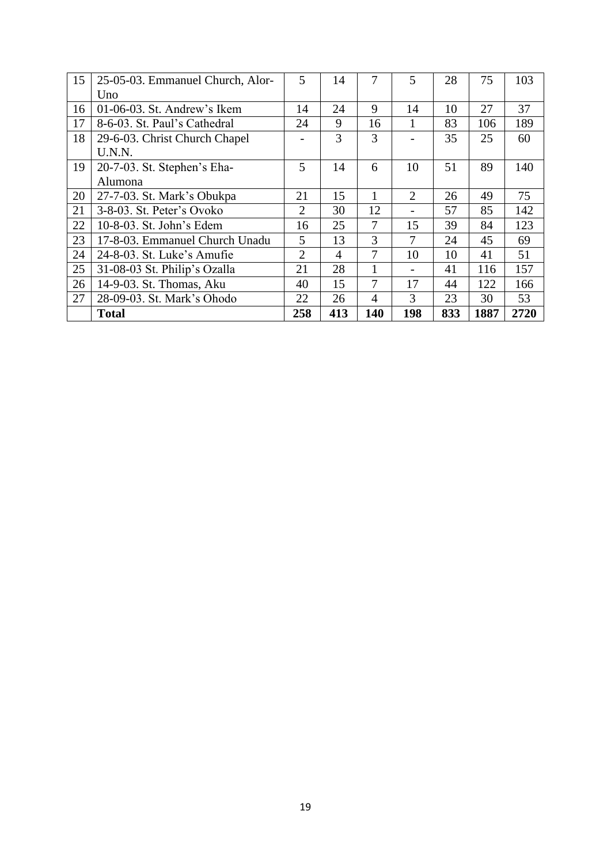| 15 | 25-05-03. Emmanuel Church, Alor- | 5              | 14  | 7              | 5               | 28  | 75   | 103  |
|----|----------------------------------|----------------|-----|----------------|-----------------|-----|------|------|
|    | Uno                              |                |     |                |                 |     |      |      |
| 16 | 01-06-03. St. Andrew's Ikem      | 14             | 24  | 9              | 14              | 10  | 27   | 37   |
| 17 | 8-6-03. St. Paul's Cathedral     | 24             | 9   | 16             | 1               | 83  | 106  | 189  |
| 18 | 29-6-03. Christ Church Chapel    |                | 3   | $\overline{3}$ |                 | 35  | 25   | 60   |
|    | U.N.N.                           |                |     |                |                 |     |      |      |
| 19 | 20-7-03. St. Stephen's Eha-      | 5              | 14  | 6              | 10              | 51  | 89   | 140  |
|    | Alumona                          |                |     |                |                 |     |      |      |
| 20 | 27-7-03. St. Mark's Obukpa       | 21             | 15  |                | $\overline{2}$  | 26  | 49   | 75   |
| 21 | 3-8-03. St. Peter's Ovoko        | $\overline{2}$ | 30  | 12             |                 | 57  | 85   | 142  |
| 22 | 10-8-03. St. John's Edem         | 16             | 25  | $\overline{7}$ | 15              | 39  | 84   | 123  |
| 23 | 17-8-03. Emmanuel Church Unadu   | 5              | 13  | 3              | 7               | 24  | 45   | 69   |
| 24 | 24-8-03. St. Luke's Amufie       | $\overline{2}$ | 4   | 7              | 10              | 10  | 41   | 51   |
| 25 | 31-08-03 St. Philip's Ozalla     | 21             | 28  | 1              | $\qquad \qquad$ | 41  | 116  | 157  |
| 26 | 14-9-03. St. Thomas, Aku         | 40             | 15  | 7              | 17              | 44  | 122  | 166  |
| 27 | 28-09-03. St. Mark's Ohodo       | 22             | 26  | $\overline{4}$ | 3               | 23  | 30   | 53   |
|    | <b>Total</b>                     | 258            | 413 | 140            | 198             | 833 | 1887 | 2720 |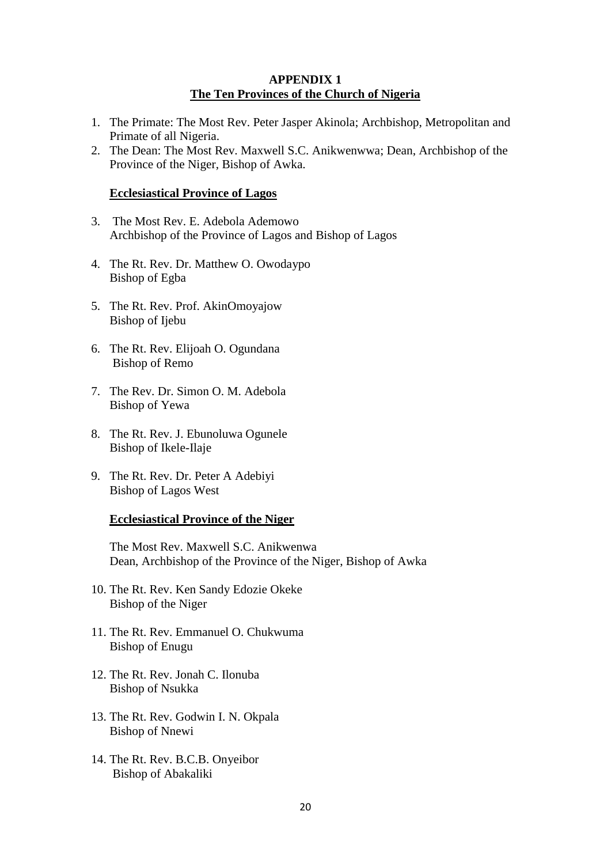## **APPENDIX 1 The Ten Provinces of the Church of Nigeria**

- 1. The Primate: The Most Rev. Peter Jasper Akinola; Archbishop, Metropolitan and Primate of all Nigeria.
- 2. The Dean: The Most Rev. Maxwell S.C. Anikwenwwa; Dean, Archbishop of the Province of the Niger, Bishop of Awka.

#### **Ecclesiastical Province of Lagos**

- 3. The Most Rev. E. Adebola Ademowo Archbishop of the Province of Lagos and Bishop of Lagos
- 4. The Rt. Rev. Dr. Matthew O. Owodaypo Bishop of Egba
- 5. The Rt. Rev. Prof. AkinOmoyajow Bishop of Ijebu
- 6. The Rt. Rev. Elijoah O. Ogundana Bishop of Remo
- 7. The Rev. Dr. Simon O. M. Adebola Bishop of Yewa
- 8. The Rt. Rev. J. Ebunoluwa Ogunele Bishop of Ikele-Ilaje
- 9. The Rt. Rev. Dr. Peter A Adebiyi Bishop of Lagos West

#### **Ecclesiastical Province of the Niger**

The Most Rev. Maxwell S.C. Anikwenwa Dean, Archbishop of the Province of the Niger, Bishop of Awka

- 10. The Rt. Rev. Ken Sandy Edozie Okeke Bishop of the Niger
- 11. The Rt. Rev. Emmanuel O. Chukwuma Bishop of Enugu
- 12. The Rt. Rev. Jonah C. Ilonuba Bishop of Nsukka
- 13. The Rt. Rev. Godwin I. N. Okpala Bishop of Nnewi
- 14. The Rt. Rev. B.C.B. Onyeibor Bishop of Abakaliki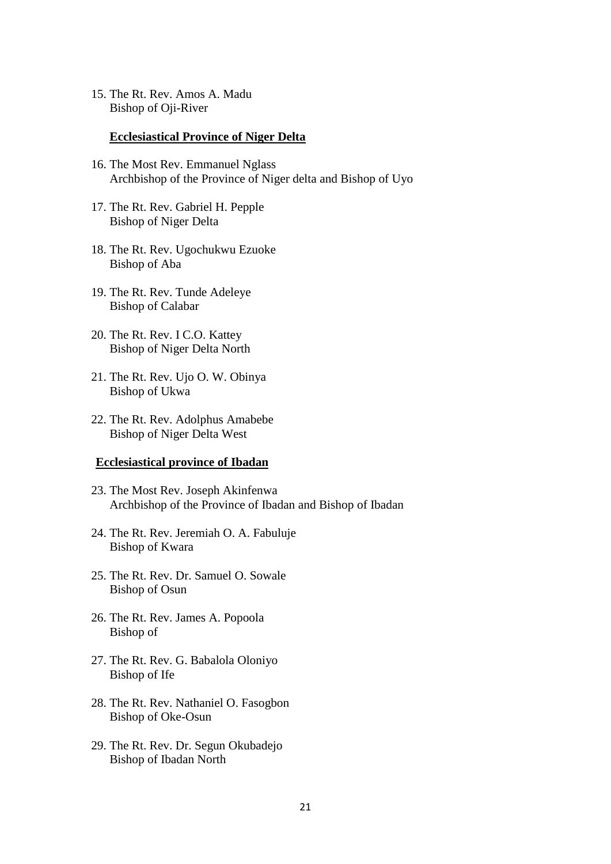15. The Rt. Rev. Amos A. Madu Bishop of Oji-River

#### **Ecclesiastical Province of Niger Delta**

- 16. The Most Rev. Emmanuel Nglass Archbishop of the Province of Niger delta and Bishop of Uyo
- 17. The Rt. Rev. Gabriel H. Pepple Bishop of Niger Delta
- 18. The Rt. Rev. Ugochukwu Ezuoke Bishop of Aba
- 19. The Rt. Rev. Tunde Adeleye Bishop of Calabar
- 20. The Rt. Rev. I C.O. Kattey Bishop of Niger Delta North
- 21. The Rt. Rev. Ujo O. W. Obinya Bishop of Ukwa
- 22. The Rt. Rev. Adolphus Amabebe Bishop of Niger Delta West

#### **Ecclesiastical province of Ibadan**

- 23. The Most Rev. Joseph Akinfenwa Archbishop of the Province of Ibadan and Bishop of Ibadan
- 24. The Rt. Rev. Jeremiah O. A. Fabuluje Bishop of Kwara
- 25. The Rt. Rev. Dr. Samuel O. Sowale Bishop of Osun
- 26. The Rt. Rev. James A. Popoola Bishop of
- 27. The Rt. Rev. G. Babalola Oloniyo Bishop of Ife
- 28. The Rt. Rev. Nathaniel O. Fasogbon Bishop of Oke-Osun
- 29. The Rt. Rev. Dr. Segun Okubadejo Bishop of Ibadan North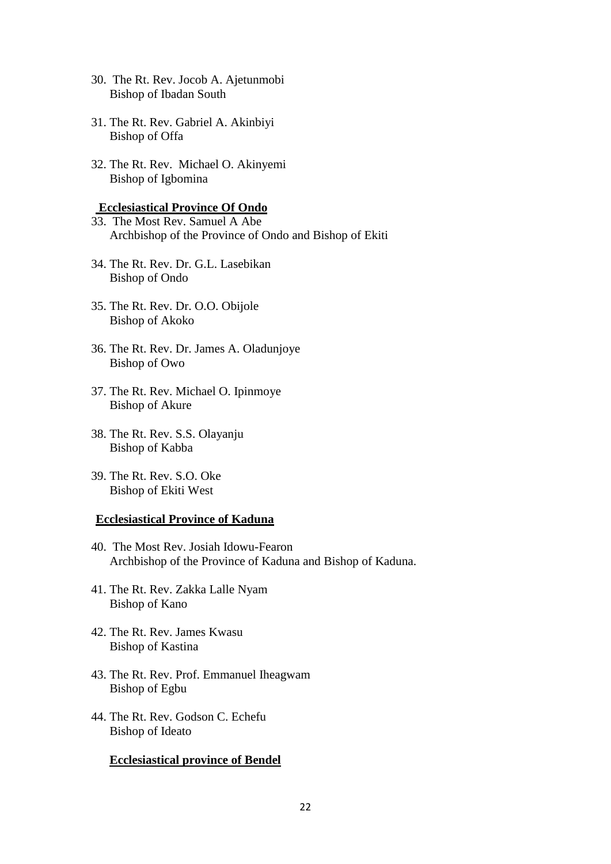- 30. The Rt. Rev. Jocob A. Ajetunmobi Bishop of Ibadan South
- 31. The Rt. Rev. Gabriel A. Akinbiyi Bishop of Offa
- 32. The Rt. Rev. Michael O. Akinyemi Bishop of Igbomina

#### **Ecclesiastical Province Of Ondo**

- 33. The Most Rev. Samuel A Abe Archbishop of the Province of Ondo and Bishop of Ekiti
- 34. The Rt. Rev. Dr. G.L. Lasebikan Bishop of Ondo
- 35. The Rt. Rev. Dr. O.O. Obijole Bishop of Akoko
- 36. The Rt. Rev. Dr. James A. Oladunjoye Bishop of Owo
- 37. The Rt. Rev. Michael O. Ipinmoye Bishop of Akure
- 38. The Rt. Rev. S.S. Olayanju Bishop of Kabba
- 39. The Rt. Rev. S.O. Oke Bishop of Ekiti West

#### **Ecclesiastical Province of Kaduna**

- 40. The Most Rev. Josiah Idowu-Fearon Archbishop of the Province of Kaduna and Bishop of Kaduna.
- 41. The Rt. Rev. Zakka Lalle Nyam Bishop of Kano
- 42. The Rt. Rev. James Kwasu Bishop of Kastina
- 43. The Rt. Rev. Prof. Emmanuel Iheagwam Bishop of Egbu
- 44. The Rt. Rev. Godson C. Echefu Bishop of Ideato

#### **Ecclesiastical province of Bendel**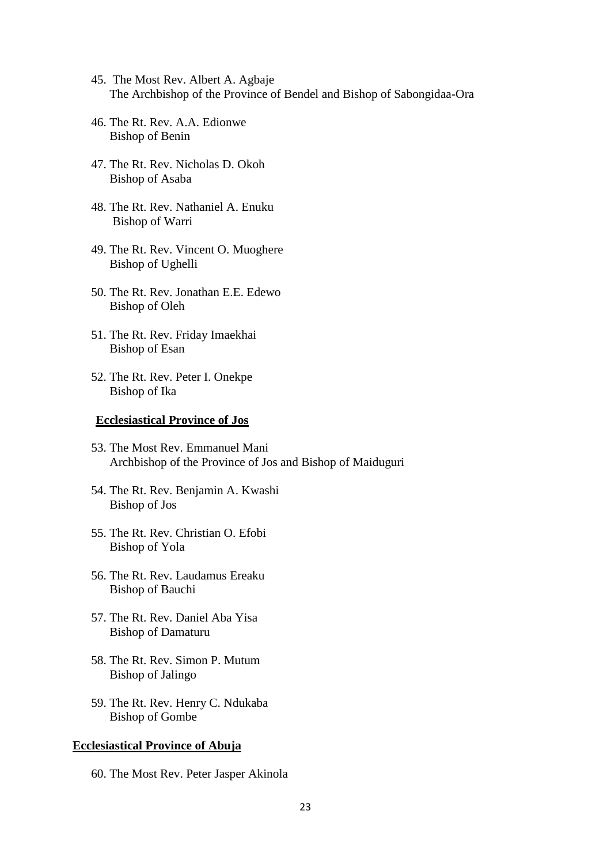- 45. The Most Rev. Albert A. Agbaje The Archbishop of the Province of Bendel and Bishop of Sabongidaa-Ora
- 46. The Rt. Rev. A.A. Edionwe Bishop of Benin
- 47. The Rt. Rev. Nicholas D. Okoh Bishop of Asaba
- 48. The Rt. Rev. Nathaniel A. Enuku Bishop of Warri
- 49. The Rt. Rev. Vincent O. Muoghere Bishop of Ughelli
- 50. The Rt. Rev. Jonathan E.E. Edewo Bishop of Oleh
- 51. The Rt. Rev. Friday Imaekhai Bishop of Esan
- 52. The Rt. Rev. Peter I. Onekpe Bishop of Ika

#### **Ecclesiastical Province of Jos**

- 53. The Most Rev. Emmanuel Mani Archbishop of the Province of Jos and Bishop of Maiduguri
- 54. The Rt. Rev. Benjamin A. Kwashi Bishop of Jos
- 55. The Rt. Rev. Christian O. Efobi Bishop of Yola
- 56. The Rt. Rev. Laudamus Ereaku Bishop of Bauchi
- 57. The Rt. Rev. Daniel Aba Yisa Bishop of Damaturu
- 58. The Rt. Rev. Simon P. Mutum Bishop of Jalingo
- 59. The Rt. Rev. Henry C. Ndukaba Bishop of Gombe

#### **Ecclesiastical Province of Abuja**

60. The Most Rev. Peter Jasper Akinola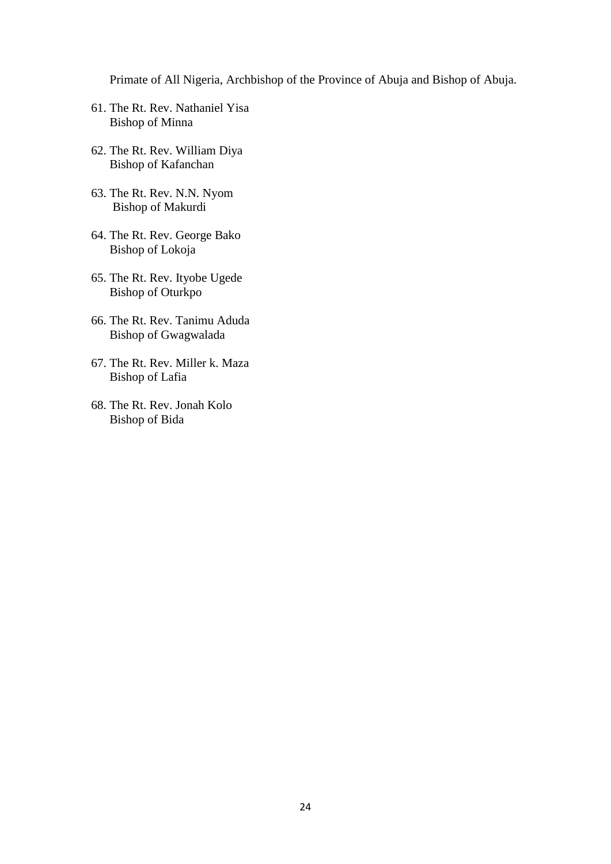Primate of All Nigeria, Archbishop of the Province of Abuja and Bishop of Abuja.

- 61. The Rt. Rev. Nathaniel Yisa Bishop of Minna
- 62. The Rt. Rev. William Diya Bishop of Kafanchan
- 63. The Rt. Rev. N.N. Nyom Bishop of Makurdi
- 64. The Rt. Rev. George Bako Bishop of Lokoja
- 65. The Rt. Rev. Ityobe Ugede Bishop of Oturkpo
- 66. The Rt. Rev. Tanimu Aduda Bishop of Gwagwalada
- 67. The Rt. Rev. Miller k. Maza Bishop of Lafia
- 68. The Rt. Rev. Jonah Kolo Bishop of Bida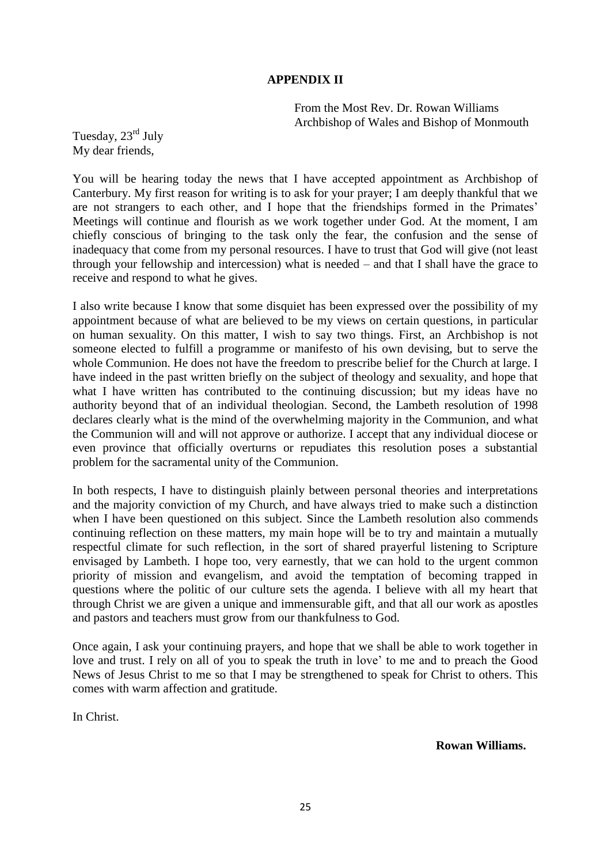## **APPENDIX II**

From the Most Rev. Dr. Rowan Williams Archbishop of Wales and Bishop of Monmouth

Tuesday, 23<sup>rd</sup> July My dear friends,

You will be hearing today the news that I have accepted appointment as Archbishop of Canterbury. My first reason for writing is to ask for your prayer; I am deeply thankful that we are not strangers to each other, and I hope that the friendships formed in the Primates' Meetings will continue and flourish as we work together under God. At the moment, I am chiefly conscious of bringing to the task only the fear, the confusion and the sense of inadequacy that come from my personal resources. I have to trust that God will give (not least through your fellowship and intercession) what is needed – and that I shall have the grace to receive and respond to what he gives.

I also write because I know that some disquiet has been expressed over the possibility of my appointment because of what are believed to be my views on certain questions, in particular on human sexuality. On this matter, I wish to say two things. First, an Archbishop is not someone elected to fulfill a programme or manifesto of his own devising, but to serve the whole Communion. He does not have the freedom to prescribe belief for the Church at large. I have indeed in the past written briefly on the subject of theology and sexuality, and hope that what I have written has contributed to the continuing discussion; but my ideas have no authority beyond that of an individual theologian. Second, the Lambeth resolution of 1998 declares clearly what is the mind of the overwhelming majority in the Communion, and what the Communion will and will not approve or authorize. I accept that any individual diocese or even province that officially overturns or repudiates this resolution poses a substantial problem for the sacramental unity of the Communion.

In both respects, I have to distinguish plainly between personal theories and interpretations and the majority conviction of my Church, and have always tried to make such a distinction when I have been questioned on this subject. Since the Lambeth resolution also commends continuing reflection on these matters, my main hope will be to try and maintain a mutually respectful climate for such reflection, in the sort of shared prayerful listening to Scripture envisaged by Lambeth. I hope too, very earnestly, that we can hold to the urgent common priority of mission and evangelism, and avoid the temptation of becoming trapped in questions where the politic of our culture sets the agenda. I believe with all my heart that through Christ we are given a unique and immensurable gift, and that all our work as apostles and pastors and teachers must grow from our thankfulness to God.

Once again, I ask your continuing prayers, and hope that we shall be able to work together in love and trust. I rely on all of you to speak the truth in love" to me and to preach the Good News of Jesus Christ to me so that I may be strengthened to speak for Christ to others. This comes with warm affection and gratitude.

In Christ.

**Rowan Williams.**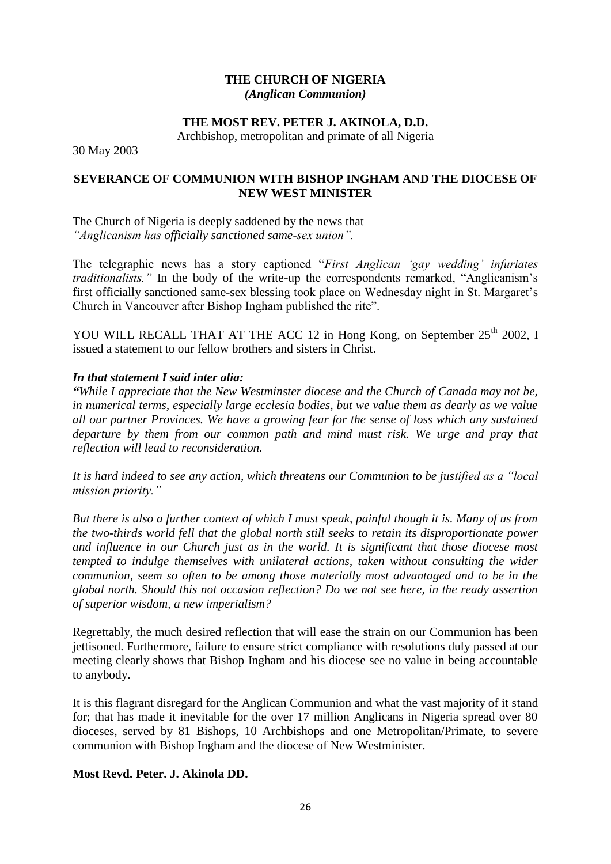## **THE CHURCH OF NIGERIA** *(Anglican Communion)*

## **THE MOST REV. PETER J. AKINOLA, D.D.**

Archbishop, metropolitan and primate of all Nigeria

30 May 2003

## **SEVERANCE OF COMMUNION WITH BISHOP INGHAM AND THE DIOCESE OF NEW WEST MINISTER**

The Church of Nigeria is deeply saddened by the news that *"Anglicanism has officially sanctioned same-sex union".*

The telegraphic news has a story captioned "*First Anglican "gay wedding" infuriates traditionalists.*" In the body of the write-up the correspondents remarked, "Anglicanism's first officially sanctioned same-sex blessing took place on Wednesday night in St. Margaret's Church in Vancouver after Bishop Ingham published the rite".

YOU WILL RECALL THAT AT THE ACC 12 in Hong Kong, on September  $25<sup>th</sup>$  2002, I issued a statement to our fellow brothers and sisters in Christ.

### *In that statement I said inter alia:*

*"While I appreciate that the New Westminster diocese and the Church of Canada may not be, in numerical terms, especially large ecclesia bodies, but we value them as dearly as we value all our partner Provinces. We have a growing fear for the sense of loss which any sustained departure by them from our common path and mind must risk. We urge and pray that reflection will lead to reconsideration.*

*It is hard indeed to see any action, which threatens our Communion to be justified as a "local mission priority."*

*But there is also a further context of which I must speak, painful though it is. Many of us from the two-thirds world fell that the global north still seeks to retain its disproportionate power and influence in our Church just as in the world. It is significant that those diocese most tempted to indulge themselves with unilateral actions, taken without consulting the wider communion, seem so often to be among those materially most advantaged and to be in the global north. Should this not occasion reflection? Do we not see here, in the ready assertion of superior wisdom, a new imperialism?*

Regrettably, the much desired reflection that will ease the strain on our Communion has been jettisoned. Furthermore, failure to ensure strict compliance with resolutions duly passed at our meeting clearly shows that Bishop Ingham and his diocese see no value in being accountable to anybody.

It is this flagrant disregard for the Anglican Communion and what the vast majority of it stand for; that has made it inevitable for the over 17 million Anglicans in Nigeria spread over 80 dioceses, served by 81 Bishops, 10 Archbishops and one Metropolitan/Primate, to severe communion with Bishop Ingham and the diocese of New Westminister.

### **Most Revd. Peter. J. Akinola DD.**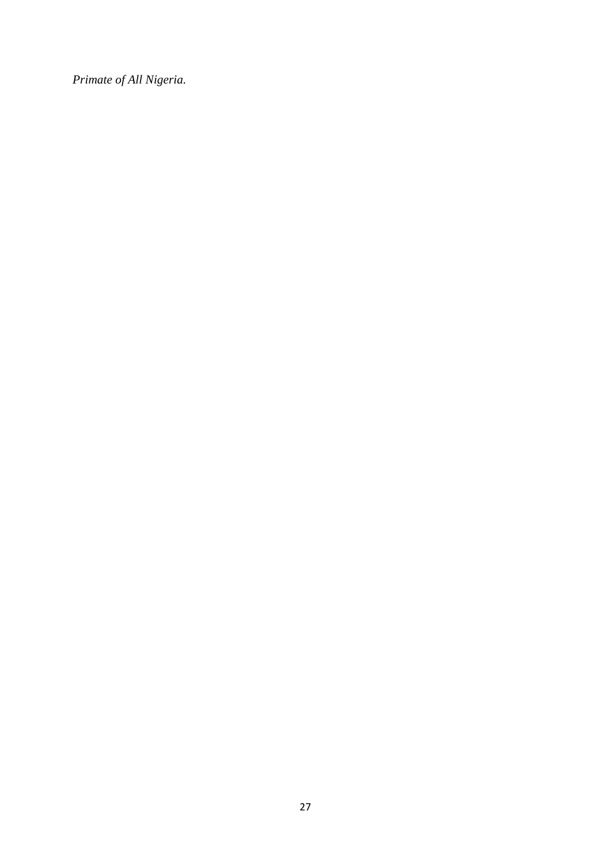*Primate of All Nigeria.*